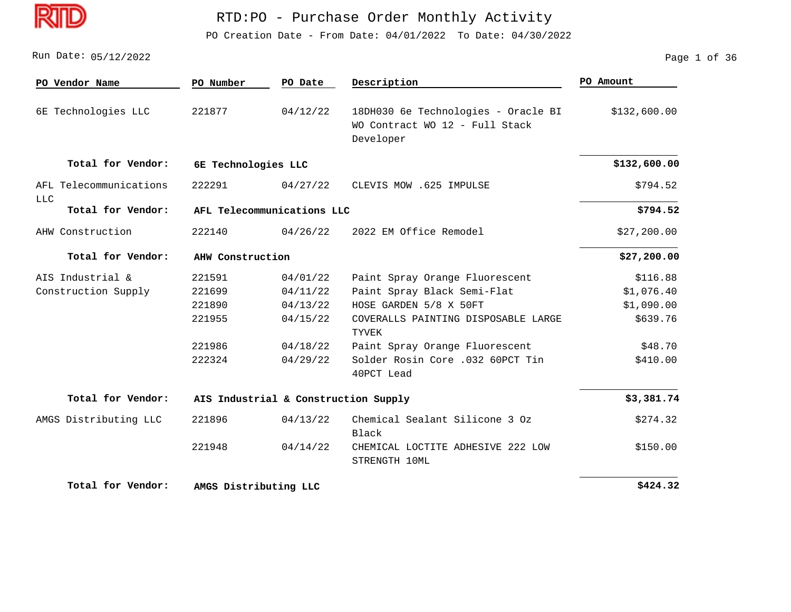D

# RTD:PO - Purchase Order Monthly Activity

PO Creation Date - From Date: 04/01/2022 To Date: 04/30/2022

05/12/2022 Run Date: Page 1 of 36

| PO Vendor Name                | PO Number             | PO Date                              | Description                                                                        | PO Amount    |
|-------------------------------|-----------------------|--------------------------------------|------------------------------------------------------------------------------------|--------------|
| 6E Technologies LLC           | 221877                | 04/12/22                             | 18DH030 6e Technologies - Oracle BI<br>WO Contract WO 12 - Full Stack<br>Developer | \$132,600.00 |
| Total for Vendor:             | 6E Technologies LLC   |                                      |                                                                                    | \$132,600.00 |
| AFL Telecommunications<br>LLC | 222291                | 04/27/22                             | CLEVIS MOW .625 IMPULSE                                                            | \$794.52     |
| Total for Vendor:             |                       | AFL Telecommunications LLC           |                                                                                    | \$794.52     |
| AHW Construction              | 222140                | 04/26/22                             | 2022 EM Office Remodel                                                             | \$27,200.00  |
| Total for Vendor:             | AHW Construction      |                                      |                                                                                    | \$27,200.00  |
| AIS Industrial &              | 221591                | 04/01/22                             | Paint Spray Orange Fluorescent                                                     | \$116.88     |
| Construction Supply           | 221699                | 04/11/22                             | Paint Spray Black Semi-Flat                                                        | \$1,076.40   |
|                               | 221890                | 04/13/22                             | HOSE GARDEN 5/8 X 50FT                                                             | \$1,090.00   |
|                               | 221955                | 04/15/22                             | COVERALLS PAINTING DISPOSABLE LARGE<br>TYVEK                                       | \$639.76     |
|                               | 221986                | 04/18/22                             | Paint Spray Orange Fluorescent                                                     | \$48.70      |
|                               | 222324                | 04/29/22                             | Solder Rosin Core .032 60PCT Tin<br>40PCT Lead                                     | \$410.00     |
| Total for Vendor:             |                       | AIS Industrial & Construction Supply |                                                                                    | \$3,381.74   |
| AMGS Distributing LLC         | 221896                | 04/13/22                             | Chemical Sealant Silicone 3 Oz<br>Black                                            | \$274.32     |
|                               | 221948                | 04/14/22                             | CHEMICAL LOCTITE ADHESIVE 222 LOW<br>STRENGTH 10ML                                 | \$150.00     |
| Total for Vendor:             | AMGS Distributing LLC |                                      |                                                                                    | \$424.32     |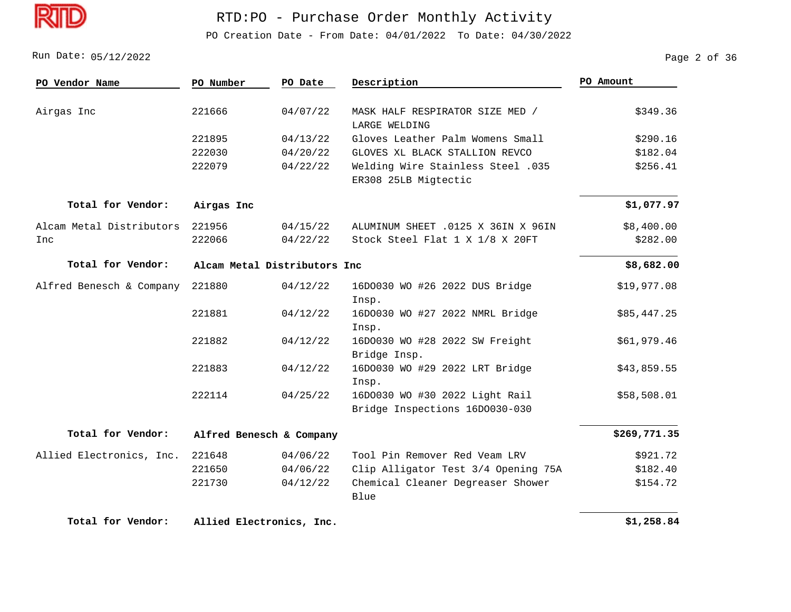

PO Creation Date - From Date: 04/01/2022 To Date: 04/30/2022

Run Date: 05/12/2022 2013 Page 2 of 36

| PO Vendor Name           | PO Number                | PO Date                      | Description                                                      | PO Amount    |  |
|--------------------------|--------------------------|------------------------------|------------------------------------------------------------------|--------------|--|
| Airgas Inc               | 221666                   | 04/07/22                     | MASK HALF RESPIRATOR SIZE MED /<br>LARGE WELDING                 | \$349.36     |  |
|                          | 221895                   | 04/13/22                     | Gloves Leather Palm Womens Small                                 | \$290.16     |  |
|                          | 222030                   | 04/20/22                     | GLOVES XL BLACK STALLION REVCO                                   | \$182.04     |  |
|                          | 222079                   | 04/22/22                     | Welding Wire Stainless Steel .035<br>ER308 25LB Migtectic        | \$256.41     |  |
| Total for Vendor:        | Airgas Inc               |                              |                                                                  | \$1,077.97   |  |
| Alcam Metal Distributors | 221956                   | 04/15/22                     | ALUMINUM SHEET .0125 X 36IN X 96IN                               | \$8,400.00   |  |
| Inc                      | 222066                   | 04/22/22                     | Stock Steel Flat 1 X 1/8 X 20FT                                  | \$282.00     |  |
| Total for Vendor:        |                          | Alcam Metal Distributors Inc |                                                                  |              |  |
| Alfred Benesch & Company | 221880                   | 04/12/22                     | 16D0030 WO #26 2022 DUS Bridge<br>Insp.                          | \$19,977.08  |  |
|                          | 221881                   | 04/12/22                     | 16D0030 WO #27 2022 NMRL Bridge<br>Insp.                         | \$85,447.25  |  |
|                          | 221882                   | 04/12/22                     | 16D0030 WO #28 2022 SW Freight<br>Bridge Insp.                   | \$61,979.46  |  |
|                          | 221883                   | 04/12/22                     | 16D0030 WO #29 2022 LRT Bridge<br>Insp.                          | \$43,859.55  |  |
|                          | 222114                   | 04/25/22                     | 16D0030 WO #30 2022 Light Rail<br>Bridge Inspections 16D0030-030 | \$58,508.01  |  |
| Total for Vendor:        | Alfred Benesch & Company |                              |                                                                  | \$269,771.35 |  |
| Allied Electronics, Inc. | 221648                   | 04/06/22                     | Tool Pin Remover Red Veam LRV                                    | \$921.72     |  |
|                          | 221650                   | 04/06/22                     | Clip Alligator Test 3/4 Opening 75A                              | \$182.40     |  |
|                          | 221730                   | 04/12/22                     | Chemical Cleaner Degreaser Shower<br>Blue                        | \$154.72     |  |
| Total for Vendor:        | Allied Electronics, Inc. |                              |                                                                  | \$1,258.84   |  |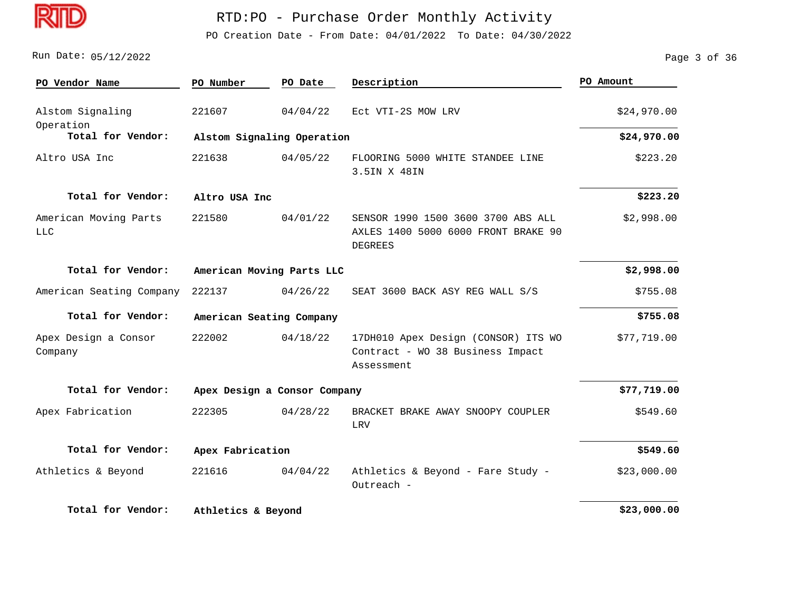

PO Creation Date - From Date: 04/01/2022 To Date: 04/30/2022

Run Date: 05/12/2022 Page 3 of 36

| PO Vendor Name                  | PO Number          | PO Date                      | Description                                                                                 | PO Amount   |
|---------------------------------|--------------------|------------------------------|---------------------------------------------------------------------------------------------|-------------|
| Alstom Signaling                | 221607             | 04/04/22                     | Ect VTI-2S MOW LRV                                                                          | \$24,970.00 |
| Operation<br>Total for Vendor:  |                    | Alstom Signaling Operation   |                                                                                             | \$24,970.00 |
| Altro USA Inc                   | 221638             | 04/05/22                     | FLOORING 5000 WHITE STANDEE LINE<br>3.5IN X 48IN                                            | \$223.20    |
| Total for Vendor:               | Altro USA Inc      |                              |                                                                                             | \$223.20    |
| American Moving Parts<br>LLC    | 221580             | 04/01/22                     | SENSOR 1990 1500 3600 3700 ABS ALL<br>AXLES 1400 5000 6000 FRONT BRAKE 90<br><b>DEGREES</b> | \$2,998.00  |
| Total for Vendor:               |                    | American Moving Parts LLC    |                                                                                             | \$2,998.00  |
| American Seating Company        | 222137             | 04/26/22                     | SEAT 3600 BACK ASY REG WALL S/S                                                             | \$755.08    |
| Total for Vendor:               |                    | American Seating Company     |                                                                                             | \$755.08    |
| Apex Design a Consor<br>Company | 222002             | 04/18/22                     | 17DH010 Apex Design (CONSOR) ITS WO<br>Contract - WO 38 Business Impact<br>Assessment       | \$77,719.00 |
| Total for Vendor:               |                    | Apex Design a Consor Company |                                                                                             | \$77,719.00 |
| Apex Fabrication                | 222305             | 04/28/22                     | BRACKET BRAKE AWAY SNOOPY COUPLER<br>LRV                                                    | \$549.60    |
| Total for Vendor:               | Apex Fabrication   |                              |                                                                                             | \$549.60    |
| Athletics & Beyond              | 221616             | 04/04/22                     | Athletics & Beyond - Fare Study -<br>Outreach -                                             | \$23,000.00 |
| Total for Vendor:               | Athletics & Beyond |                              |                                                                                             | \$23,000.00 |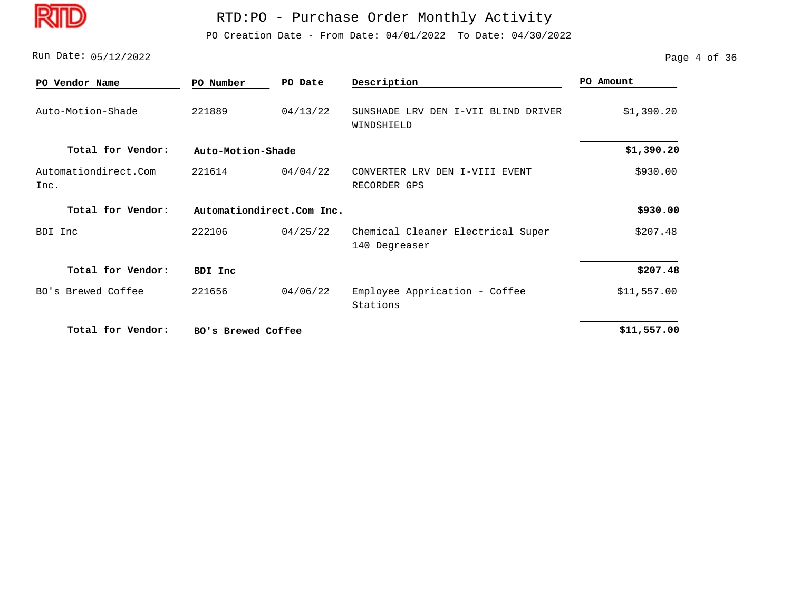D

#### RTD:PO - Purchase Order Monthly Activity

PO Creation Date - From Date: 04/01/2022 To Date: 04/30/2022

Run Date: 05/12/2022 Page 4 of 36

| PO Vendor Name               | PO Number                 | PO Date  | Description                                          | PO Amount   |
|------------------------------|---------------------------|----------|------------------------------------------------------|-------------|
| Auto-Motion-Shade            | 221889                    | 04/13/22 | SUNSHADE LRV<br>DEN I-VII BLIND DRIVER<br>WINDSHIELD | \$1,390.20  |
| Total for Vendor:            | Auto-Motion-Shade         |          |                                                      | \$1,390.20  |
| Automationdirect.Com<br>Inc. | 221614                    | 04/04/22 | CONVERTER LRV DEN I-VIII EVENT<br>RECORDER GPS       | \$930.00    |
| Total for Vendor:            | Automationdirect.Com Inc. |          |                                                      | \$930.00    |
| BDI<br>Inc                   | 222106                    | 04/25/22 | Chemical Cleaner Electrical Super<br>140 Degreaser   | \$207.48    |
| Total for Vendor:            | <b>BDI Inc</b>            |          |                                                      | \$207.48    |
| BO's Brewed Coffee           | 221656                    | 04/06/22 | Employee Apprication - Coffee<br>Stations            | \$11,557.00 |
| Total for Vendor:            | BO's Brewed Coffee        |          |                                                      | \$11,557.00 |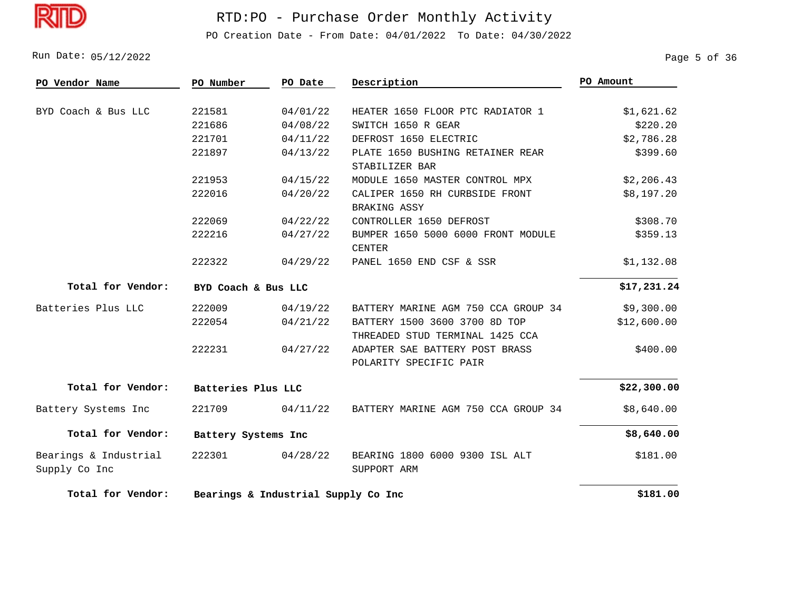

PO Creation Date - From Date: 04/01/2022 To Date: 04/30/2022

Run Date: 05/12/2022 Page 5 of 36

| PO Vendor Name                         | PO Number           | PO Date                             | Description                                                      | PO Amount   |
|----------------------------------------|---------------------|-------------------------------------|------------------------------------------------------------------|-------------|
|                                        |                     |                                     |                                                                  |             |
| BYD Coach & Bus LLC                    | 221581              | 04/01/22                            | HEATER 1650 FLOOR PTC RADIATOR 1                                 | \$1,621.62  |
|                                        | 221686              | 04/08/22                            | SWITCH 1650 R GEAR                                               | \$220.20    |
|                                        | 221701              | 04/11/22                            | DEFROST 1650 ELECTRIC                                            | \$2,786.28  |
|                                        | 221897              | 04/13/22                            | PLATE 1650 BUSHING RETAINER REAR<br>STABILIZER BAR               | \$399.60    |
|                                        | 221953              | 04/15/22                            | MODULE 1650 MASTER CONTROL MPX                                   | \$2,206.43  |
|                                        | 222016              | 04/20/22                            | CALIPER 1650 RH CURBSIDE FRONT<br>BRAKING ASSY                   | \$8,197.20  |
|                                        | 222069              | 04/22/22                            | CONTROLLER 1650 DEFROST                                          | \$308.70    |
|                                        | 222216              | 04/27/22                            | BUMPER 1650 5000 6000 FRONT MODULE<br><b>CENTER</b>              | \$359.13    |
|                                        | 222322              | 04/29/22                            | PANEL 1650 END CSF & SSR                                         | \$1,132.08  |
| Total for Vendor:                      | BYD Coach & Bus LLC |                                     |                                                                  | \$17,231.24 |
| Batteries Plus LLC                     | 222009              | 04/19/22                            | BATTERY MARINE AGM 750 CCA GROUP 34                              | \$9,300.00  |
|                                        | 222054              | 04/21/22                            | BATTERY 1500 3600 3700 8D TOP<br>THREADED STUD TERMINAL 1425 CCA | \$12,600.00 |
|                                        | 222231              | 04/27/22                            | ADAPTER SAE BATTERY POST BRASS<br>POLARITY SPECIFIC PAIR         | \$400.00    |
| Total for Vendor:                      | Batteries Plus LLC  |                                     |                                                                  | \$22,300.00 |
| Battery Systems Inc                    | 221709              | 04/11/22                            | BATTERY MARINE AGM 750 CCA GROUP 34                              | \$8,640.00  |
| Total for Vendor:                      | Battery Systems Inc |                                     |                                                                  | \$8,640.00  |
| Bearings & Industrial<br>Supply Co Inc | 222301              | 04/28/22                            | BEARING 1800 6000 9300 ISL ALT<br>SUPPORT ARM                    | \$181.00    |
| Total for Vendor:                      |                     | Bearings & Industrial Supply Co Inc |                                                                  |             |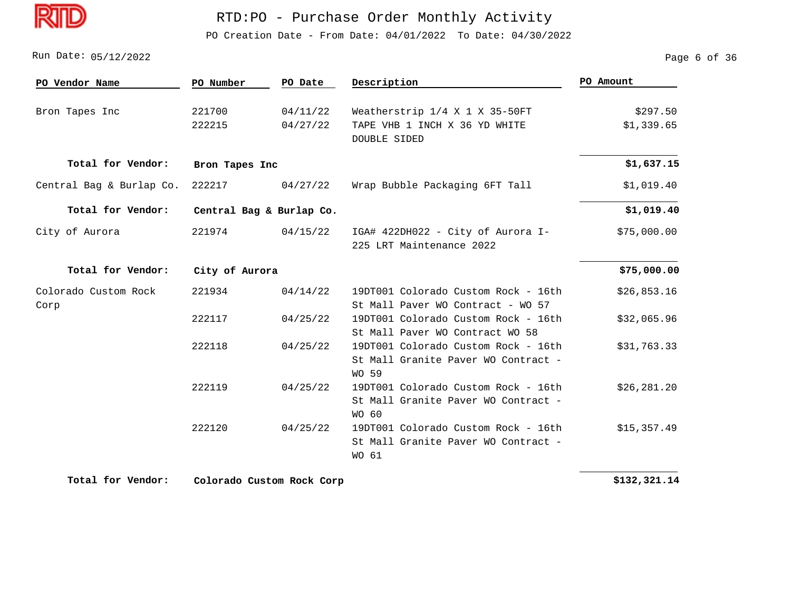

PO Creation Date - From Date: 04/01/2022 To Date: 04/30/2022

Run Date: 05/12/2022 Page 6 of 36

| PO Vendor Name           | PO Number      | PO Date                  | Description                         | PO Amount    |
|--------------------------|----------------|--------------------------|-------------------------------------|--------------|
|                          |                |                          |                                     |              |
| Bron Tapes Inc           | 221700         | 04/11/22                 | Weatherstrip 1/4 X 1 X 35-50FT      | \$297.50     |
|                          | 222215         | 04/27/22                 | TAPE VHB 1 INCH X 36 YD WHITE       | \$1,339.65   |
|                          |                |                          | <b>DOUBLE SIDED</b>                 |              |
| Total for Vendor:        | Bron Tapes Inc |                          |                                     | \$1,637.15   |
| Central Bag & Burlap Co. | 222217         | 04/27/22                 | Wrap Bubble Packaging 6FT Tall      | \$1,019.40   |
| Total for Vendor:        |                | Central Bag & Burlap Co. |                                     | \$1,019.40   |
| City of Aurora           | 221974         | 04/15/22                 | IGA# 422DH022 - City of Aurora I-   | \$75,000.00  |
|                          |                |                          | 225 LRT Maintenance 2022            |              |
| Total for Vendor:        | City of Aurora |                          |                                     | \$75,000.00  |
| Colorado Custom Rock     | 221934         | 04/14/22                 | 19DT001 Colorado Custom Rock - 16th | \$26,853.16  |
| Corp                     |                |                          | St Mall Paver WO Contract - WO 57   |              |
|                          | 222117         | 04/25/22                 | 19DT001 Colorado Custom Rock - 16th | \$32,065.96  |
|                          |                |                          | St Mall Paver WO Contract WO 58     |              |
|                          | 222118         | 04/25/22                 | 19DT001 Colorado Custom Rock - 16th | \$31,763.33  |
|                          |                |                          | St Mall Granite Paver WO Contract - |              |
|                          |                |                          | <b>WO 59</b>                        |              |
|                          | 222119         | 04/25/22                 | 19DT001 Colorado Custom Rock - 16th | \$26, 281.20 |
|                          |                |                          | St Mall Granite Paver WO Contract - |              |
|                          |                |                          | WO 60                               |              |
|                          | 222120         | 04/25/22                 | 19DT001 Colorado Custom Rock - 16th | \$15,357.49  |
|                          |                |                          | St Mall Granite Paver WO Contract - |              |
|                          |                |                          | WO 61                               |              |

**Total for Vendor: Colorado Custom Rock Corp**

 **\$132,321.14**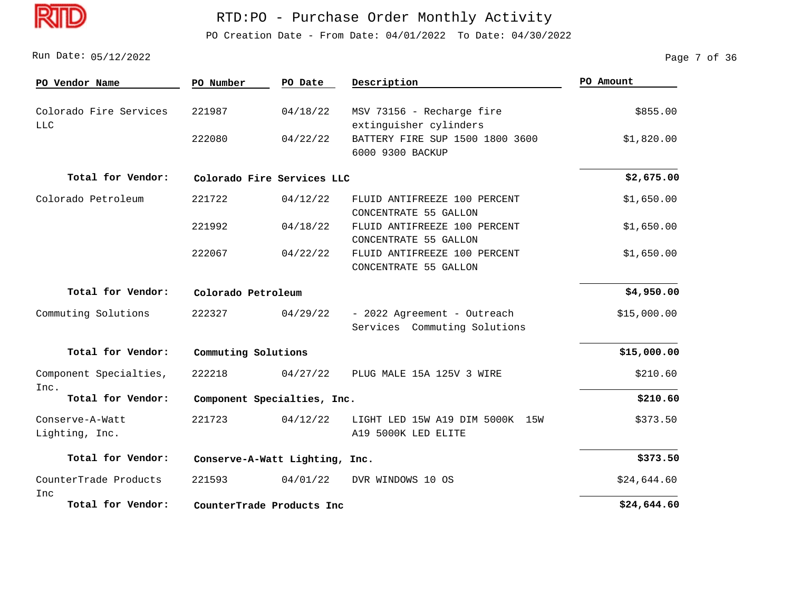

PO Creation Date - From Date: 04/01/2022 To Date: 04/30/2022

05/12/2022 Run Date: Page 7 of 36

| PO Vendor Name                       | PO Number                      | PO Date                    | Description                                                 | PO Amount   |
|--------------------------------------|--------------------------------|----------------------------|-------------------------------------------------------------|-------------|
| Colorado Fire Services<br><b>LLC</b> | 221987                         | 04/18/22                   | MSV 73156 - Recharge fire<br>extinguisher cylinders         | \$855.00    |
|                                      | 222080                         | 04/22/22                   | BATTERY FIRE SUP 1500 1800 3600<br>6000 9300 BACKUP         | \$1,820.00  |
| Total for Vendor:                    |                                | Colorado Fire Services LLC |                                                             | \$2,675.00  |
| Colorado Petroleum                   | 221722                         | 04/12/22                   | FLUID ANTIFREEZE 100 PERCENT<br>CONCENTRATE 55 GALLON       | \$1,650.00  |
|                                      | 221992                         | 04/18/22                   | FLUID ANTIFREEZE 100 PERCENT<br>CONCENTRATE 55 GALLON       | \$1,650.00  |
|                                      | 222067                         | 04/22/22                   | FLUID ANTIFREEZE 100 PERCENT<br>CONCENTRATE 55 GALLON       | \$1,650.00  |
| Total for Vendor:                    | Colorado Petroleum             |                            |                                                             | \$4,950.00  |
| Commuting Solutions                  | 222327                         | 04/29/22                   | - 2022 Agreement - Outreach<br>Services Commuting Solutions | \$15,000.00 |
| Total for Vendor:                    |                                | Commuting Solutions        |                                                             |             |
| Component Specialties,<br>Inc.       | 222218                         | 04/27/22                   | PLUG MALE 15A 125V 3 WIRE                                   | \$210.60    |
| Total for Vendor:                    | Component Specialties, Inc.    |                            |                                                             | \$210.60    |
| Conserve-A-Watt<br>Lighting, Inc.    | 221723                         | 04/12/22                   | LIGHT LED 15W A19 DIM 5000K<br>15W<br>A19 5000K LED ELITE   | \$373.50    |
| Total for Vendor:                    | Conserve-A-Watt Lighting, Inc. |                            |                                                             | \$373.50    |
| CounterTrade Products<br>Inc         | 221593                         | 04/01/22                   | DVR WINDOWS 10 OS                                           | \$24,644.60 |
| Total for Vendor:                    |                                | CounterTrade Products Inc  |                                                             | \$24,644.60 |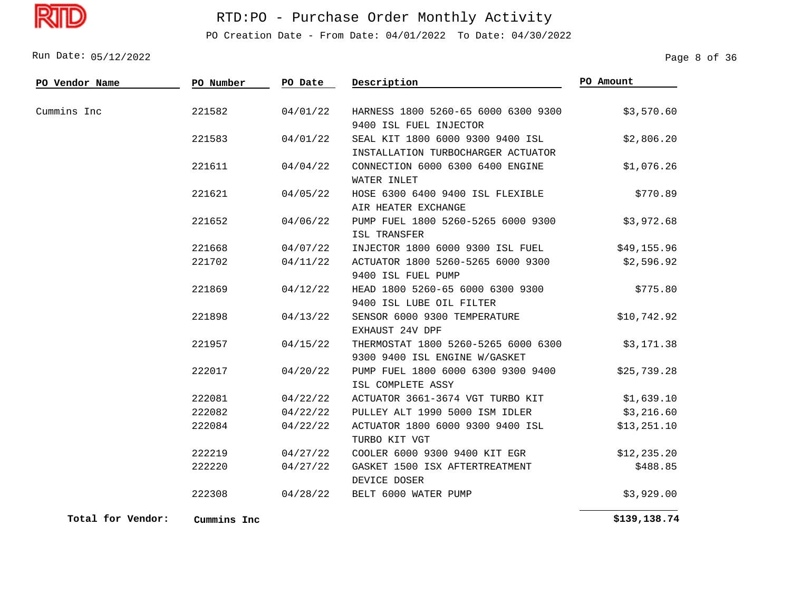

PO Creation Date - From Date: 04/01/2022 To Date: 04/30/2022

05/12/2022 Run Date: Page 8 of 36

| PO Vendor Name | PO Number | PO Date  | Description                                                            | PO Amount    |
|----------------|-----------|----------|------------------------------------------------------------------------|--------------|
|                |           |          |                                                                        |              |
| Cummins Inc    | 221582    | 04/01/22 | HARNESS 1800 5260-65 6000 6300 9300                                    | \$3,570.60   |
|                |           |          | 9400 ISL FUEL INJECTOR                                                 |              |
|                | 221583    | 04/01/22 | SEAL KIT 1800 6000 9300 9400 ISL<br>INSTALLATION TURBOCHARGER ACTUATOR | \$2,806.20   |
|                | 221611    | 04/04/22 | CONNECTION 6000 6300 6400 ENGINE                                       | \$1,076.26   |
|                |           |          | WATER INLET                                                            |              |
|                | 221621    | 04/05/22 | HOSE 6300 6400 9400 ISL FLEXIBLE                                       | \$770.89     |
|                |           |          | AIR HEATER EXCHANGE                                                    |              |
|                | 221652    | 04/06/22 | PUMP FUEL 1800 5260-5265 6000 9300                                     | \$3,972.68   |
|                |           |          | ISL TRANSFER                                                           |              |
|                | 221668    | 04/07/22 | INJECTOR 1800 6000 9300 ISL FUEL                                       | \$49,155.96  |
|                | 221702    | 04/11/22 | ACTUATOR 1800 5260-5265 6000 9300                                      | \$2,596.92   |
|                |           |          | 9400 ISL FUEL PUMP                                                     |              |
|                | 221869    | 04/12/22 | HEAD 1800 5260-65 6000 6300 9300                                       | \$775.80     |
|                |           |          | 9400 ISL LUBE OIL FILTER                                               |              |
|                | 221898    | 04/13/22 | SENSOR 6000 9300 TEMPERATURE                                           | \$10,742.92  |
|                |           |          | EXHAUST 24V DPF                                                        |              |
|                | 221957    | 04/15/22 | THERMOSTAT 1800 5260-5265 6000 6300                                    | \$3,171.38   |
|                |           |          | 9300 9400 ISL ENGINE W/GASKET                                          |              |
|                | 222017    | 04/20/22 | PUMP FUEL 1800 6000 6300 9300 9400                                     | \$25,739.28  |
|                |           |          | ISL COMPLETE ASSY                                                      |              |
|                | 222081    | 04/22/22 | ACTUATOR 3661-3674 VGT TURBO KIT                                       | \$1,639.10   |
|                | 222082    | 04/22/22 | PULLEY ALT 1990 5000 ISM IDLER                                         | \$3,216.60   |
|                | 222084    | 04/22/22 | ACTUATOR 1800 6000 9300 9400 ISL                                       | \$13,251.10  |
|                |           |          | TURBO KIT VGT                                                          |              |
|                | 222219    | 04/27/22 | COOLER 6000 9300 9400 KIT EGR                                          | \$12, 235.20 |
|                | 222220    | 04/27/22 | GASKET 1500 ISX AFTERTREATMENT                                         | \$488.85     |
|                |           |          | DEVICE DOSER                                                           |              |
|                | 222308    | 04/28/22 | BELT 6000 WATER PUMP                                                   | \$3,929.00   |

**Total for Vendor: Cummins Inc**

 **\$139,138.74**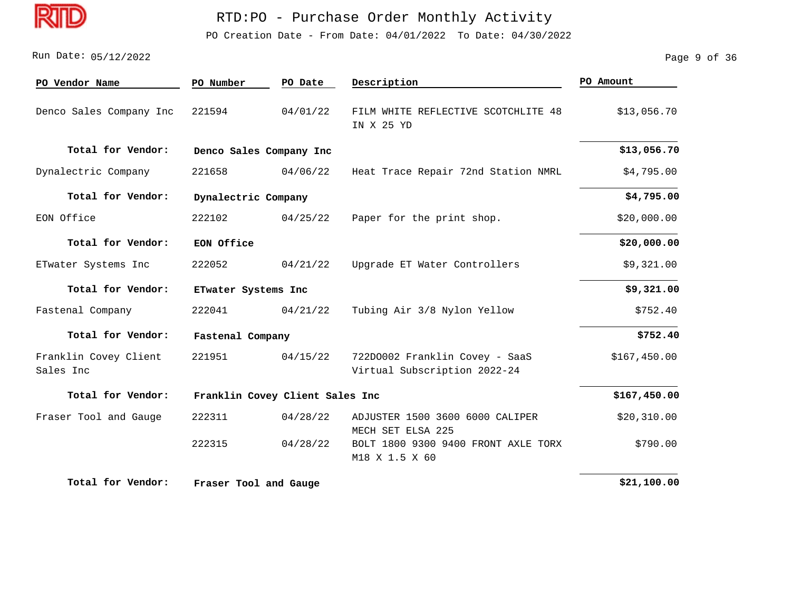

PO Creation Date - From Date: 04/01/2022 To Date: 04/30/2022

#### 05/12/2022 Run Date: Page 9 of 36

| PO Vendor Name                     | PO Number               | PO Date                         | Description                                                    | PO Amount    |
|------------------------------------|-------------------------|---------------------------------|----------------------------------------------------------------|--------------|
| Denco Sales Company Inc            | 221594                  | 04/01/22                        | FILM WHITE REFLECTIVE SCOTCHLITE 48<br>IN X 25 YD              | \$13,056.70  |
| Total for Vendor:                  | Denco Sales Company Inc |                                 |                                                                | \$13,056.70  |
| Dynalectric Company                | 221658                  | 04/06/22                        | Heat Trace Repair 72nd Station NMRL                            | \$4,795.00   |
| Total for Vendor:                  | Dynalectric Company     |                                 |                                                                | \$4,795.00   |
| EON Office                         | 222102                  | 04/25/22                        | Paper for the print shop.                                      | \$20,000.00  |
| Total for Vendor:                  | EON Office              |                                 |                                                                | \$20,000.00  |
| ETwater Systems Inc                | 222052                  | 04/21/22                        | Upgrade ET Water Controllers                                   | \$9,321.00   |
| Total for Vendor:                  | ETwater Systems Inc     |                                 |                                                                | \$9,321.00   |
| Fastenal Company                   | 222041                  | 04/21/22                        | Tubing Air 3/8 Nylon Yellow                                    | \$752.40     |
| Total for Vendor:                  | Fastenal Company        |                                 |                                                                | \$752.40     |
| Franklin Covey Client<br>Sales Inc | 221951                  | 04/15/22                        | 722D0002 Franklin Covey - SaaS<br>Virtual Subscription 2022-24 | \$167,450.00 |
| Total for Vendor:                  |                         | Franklin Covey Client Sales Inc |                                                                | \$167,450.00 |
| Fraser Tool and Gauge              | 222311                  | 04/28/22                        | ADJUSTER 1500 3600 6000 CALIPER<br>MECH SET ELSA 225           | \$20,310.00  |
|                                    | 222315                  | 04/28/22                        | BOLT 1800 9300 9400 FRONT AXLE TORX<br>M18 X 1.5 X 60          | \$790.00     |
| Total for Vendor:                  | Fraser Tool and Gauge   |                                 |                                                                | \$21,100.00  |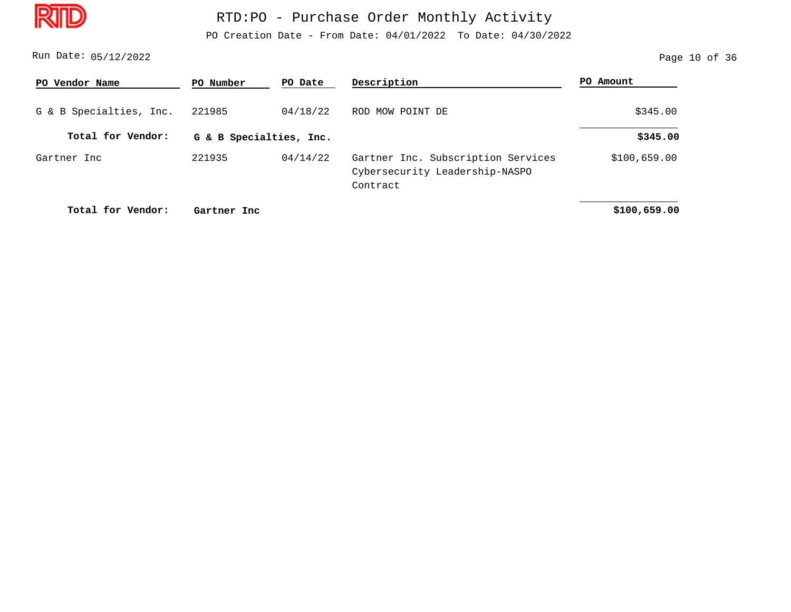

PO Creation Date - From Date: 04/01/2022 To Date: 04/30/2022

05/12/2022 Run Date: Page 10 of 36

| PO Vendor Name          | PO Number   | PO Date                 | Description                                                                      | PO Amount    |  |
|-------------------------|-------------|-------------------------|----------------------------------------------------------------------------------|--------------|--|
| G & B Specialties, Inc. | 221985      | 04/18/22                | ROD MOW POINT DE                                                                 | \$345.00     |  |
| Total for Vendor:       |             | G & B Specialties, Inc. |                                                                                  |              |  |
| Gartner Inc             | 221935      | 04/14/22                | Gartner Inc. Subscription Services<br>Cybersecurity Leadership-NASPO<br>Contract | \$100,659.00 |  |
| Total for Vendor:       | Gartner Inc |                         |                                                                                  | \$100,659.00 |  |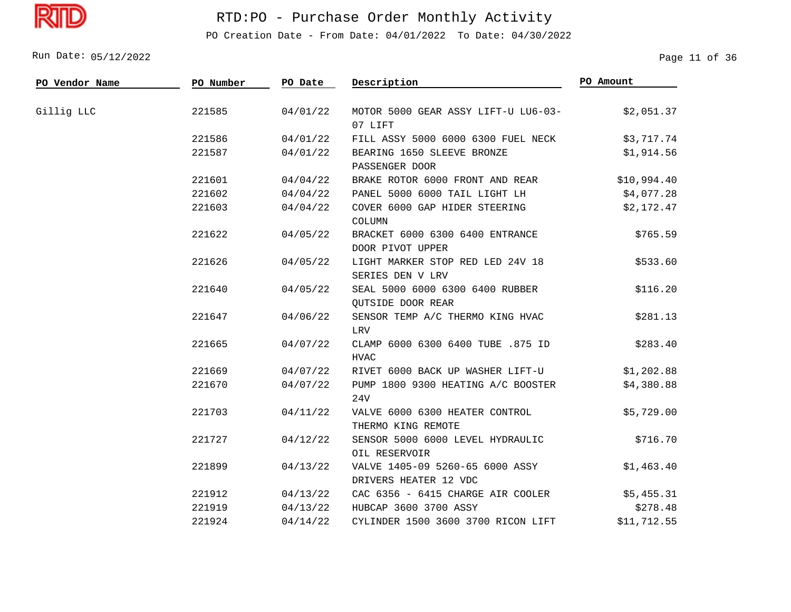Dī

# RTD:PO - Purchase Order Monthly Activity

PO Creation Date - From Date: 04/01/2022 To Date: 04/30/2022

05/12/2022 Run Date: Page 11 of 36

| PO Vendor Name   | PO Number | PO Date  | Description                                              | PO Amount   |
|------------------|-----------|----------|----------------------------------------------------------|-------------|
| Gillig LLC       | 221585    | 04/01/22 | MOTOR 5000 GEAR ASSY LIFT-U LU6-03-<br>07 LIFT           | \$2,051.37  |
|                  | 221586    | 04/01/22 | FILL ASSY 5000 6000 6300 FUEL NECK                       | \$3,717.74  |
|                  | 221587    | 04/01/22 | BEARING 1650 SLEEVE BRONZE<br>PASSENGER DOOR             | \$1,914.56  |
|                  | 221601    | 04/04/22 | BRAKE ROTOR 6000 FRONT AND REAR                          | \$10,994.40 |
|                  | 221602    | 04/04/22 | PANEL 5000 6000 TAIL LIGHT LH                            | \$4,077.28  |
|                  | 221603    | 04/04/22 | COVER 6000 GAP HIDER STEERING<br>COLUMN                  | \$2,172.47  |
|                  | 221622    | 04/05/22 | BRACKET 6000 6300 6400 ENTRANCE<br>DOOR PIVOT UPPER      | \$765.59    |
| 221626<br>221640 |           | 04/05/22 | LIGHT MARKER STOP RED LED 24V 18<br>SERIES DEN V LRV     | \$533.60    |
|                  |           | 04/05/22 | SEAL 5000 6000 6300 6400 RUBBER<br>QUTSIDE DOOR REAR     | \$116.20    |
|                  | 221647    | 04/06/22 | SENSOR TEMP A/C THERMO KING HVAC<br>LRV                  | \$281.13    |
|                  | 221665    | 04/07/22 | CLAMP 6000 6300 6400 TUBE .875 ID<br><b>HVAC</b>         | \$283.40    |
|                  | 221669    | 04/07/22 | RIVET 6000 BACK UP WASHER LIFT-U                         | \$1,202.88  |
|                  | 221670    | 04/07/22 | PUMP 1800 9300 HEATING A/C BOOSTER<br>24V                | \$4,380.88  |
|                  | 221703    | 04/11/22 | VALVE 6000 6300 HEATER CONTROL<br>THERMO KING REMOTE     | \$5,729.00  |
|                  | 221727    | 04/12/22 | SENSOR 5000 6000 LEVEL HYDRAULIC<br>OIL RESERVOIR        | \$716.70    |
|                  | 221899    | 04/13/22 | VALVE 1405-09 5260-65 6000 ASSY<br>DRIVERS HEATER 12 VDC | \$1,463.40  |
|                  | 221912    | 04/13/22 | CAC 6356 - 6415 CHARGE AIR COOLER                        | \$5,455.31  |
|                  | 221919    | 04/13/22 | HUBCAP 3600 3700 ASSY                                    | \$278.48    |
|                  | 221924    | 04/14/22 | CYLINDER 1500 3600 3700 RICON LIFT                       | \$11,712.55 |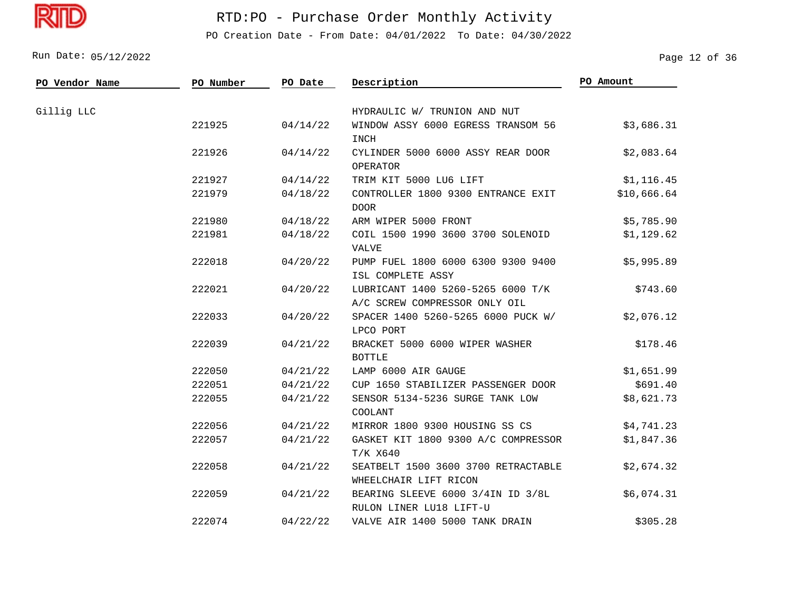Dī

## RTD:PO - Purchase Order Monthly Activity

PO Creation Date - From Date: 04/01/2022 To Date: 04/30/2022

05/12/2022 Run Date: Page 12 of 36

| PO Vendor Name | PO Number | PO Date  | Description                                                        | PO Amount   |
|----------------|-----------|----------|--------------------------------------------------------------------|-------------|
| Gillig LLC     |           |          | HYDRAULIC W/ TRUNION AND NUT                                       |             |
|                | 221925    | 04/14/22 | WINDOW ASSY 6000 EGRESS TRANSOM 56<br><b>INCH</b>                  | \$3,686.31  |
|                | 221926    | 04/14/22 | CYLINDER 5000 6000 ASSY REAR DOOR<br>OPERATOR                      | \$2,083.64  |
|                | 221927    | 04/14/22 | TRIM KIT 5000 LU6 LIFT                                             | \$1,116.45  |
|                | 221979    | 04/18/22 | CONTROLLER 1800 9300 ENTRANCE EXIT<br><b>DOOR</b>                  | \$10,666.64 |
|                | 221980    | 04/18/22 | ARM WIPER 5000 FRONT                                               | \$5,785.90  |
|                | 221981    | 04/18/22 | COIL 1500 1990 3600 3700 SOLENOID<br>VALVE                         | \$1,129.62  |
|                | 222018    | 04/20/22 | PUMP FUEL 1800 6000 6300 9300 9400<br>ISL COMPLETE ASSY            | \$5,995.89  |
|                | 222021    | 04/20/22 | LUBRICANT 1400 5260-5265 6000 T/K<br>A/C SCREW COMPRESSOR ONLY OIL | \$743.60    |
|                | 222033    | 04/20/22 | SPACER 1400 5260-5265 6000 PUCK W/<br>LPCO PORT                    | \$2,076.12  |
|                | 222039    | 04/21/22 | BRACKET 5000 6000 WIPER WASHER<br><b>BOTTLE</b>                    | \$178.46    |
|                | 222050    | 04/21/22 | LAMP 6000 AIR GAUGE                                                | \$1,651.99  |
|                | 222051    | 04/21/22 | CUP 1650 STABILIZER PASSENGER DOOR                                 | \$691.40    |
|                | 222055    | 04/21/22 | SENSOR 5134-5236 SURGE TANK LOW<br>COOLANT                         | \$8,621.73  |
|                | 222056    | 04/21/22 | MIRROR 1800 9300 HOUSING SS CS                                     | \$4,741.23  |
|                | 222057    | 04/21/22 | GASKET KIT 1800 9300 A/C COMPRESSOR<br>T/K X640                    | \$1,847.36  |
|                | 222058    | 04/21/22 | SEATBELT 1500 3600 3700 RETRACTABLE<br>WHEELCHAIR LIFT RICON       | \$2,674.32  |
|                | 222059    | 04/21/22 | BEARING SLEEVE 6000 3/4IN ID 3/8L<br>RULON LINER LU18 LIFT-U       | \$6,074.31  |
|                | 222074    | 04/22/22 | VALVE AIR 1400 5000 TANK DRAIN                                     | \$305.28    |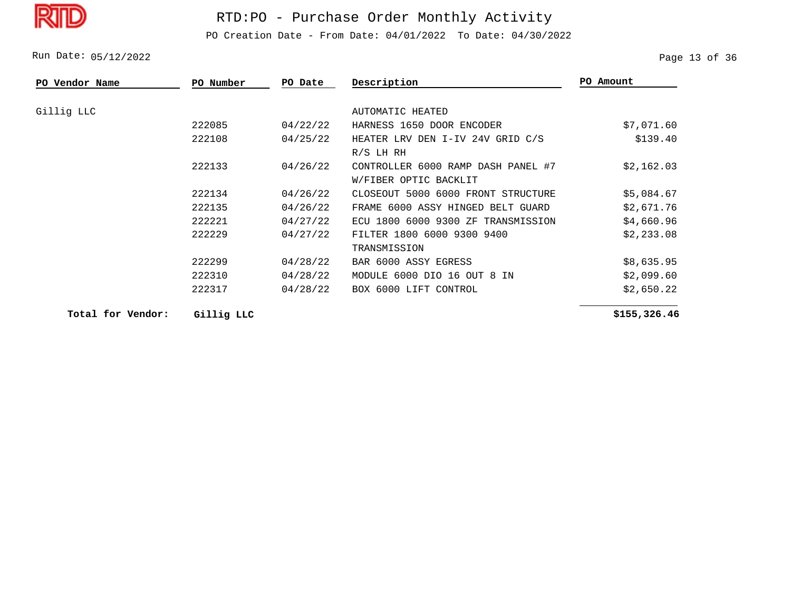PO Creation Date - From Date: 04/01/2022 To Date: 04/30/2022

Run Date: 05/12/2022 2008 Page 13 of 36

| <b>PO Vendor Name</b> | PO Number | PO Date  | Description                        | PO Amount  |
|-----------------------|-----------|----------|------------------------------------|------------|
| Gillig LLC            |           |          | AUTOMATIC HEATED                   |            |
|                       | 222085    | 04/22/22 | HARNESS 1650 DOOR ENCODER          | \$7,071.60 |
|                       | 222108    | 04/25/22 | HEATER LRV DEN I-IV 24V GRID C/S   | \$139.40   |
|                       |           |          | $R/S$ LH RH                        |            |
|                       | 222133    | 04/26/22 | CONTROLLER 6000 RAMP DASH PANEL #7 | \$2,162.03 |
|                       |           |          | W/FIBER OPTIC BACKLIT              |            |
|                       | 222134    | 04/26/22 | CLOSEOUT 5000 6000 FRONT STRUCTURE | \$5,084.67 |
|                       | 222135    | 04/26/22 | FRAME 6000 ASSY HINGED BELT GUARD  | \$2,671.76 |
|                       | 222221    | 04/27/22 | ECU 1800 6000 9300 ZF TRANSMISSION | \$4,660.96 |
|                       | 222229    | 04/27/22 | FILTER 1800 6000 9300 9400         | \$2,233.08 |
|                       |           |          | TRANSMISSION                       |            |
|                       | 222299    | 04/28/22 | BAR 6000 ASSY EGRESS               | \$8,635.95 |
|                       | 222310    | 04/28/22 | MODULE 6000 DIO 16 OUT 8 IN        | \$2,099.60 |
|                       | 222317    | 04/28/22 | BOX 6000 LIFT CONTROL              | \$2,650.22 |
|                       |           |          |                                    |            |

**Total for Vendor: Gillig LLC**

 **\$155,326.46**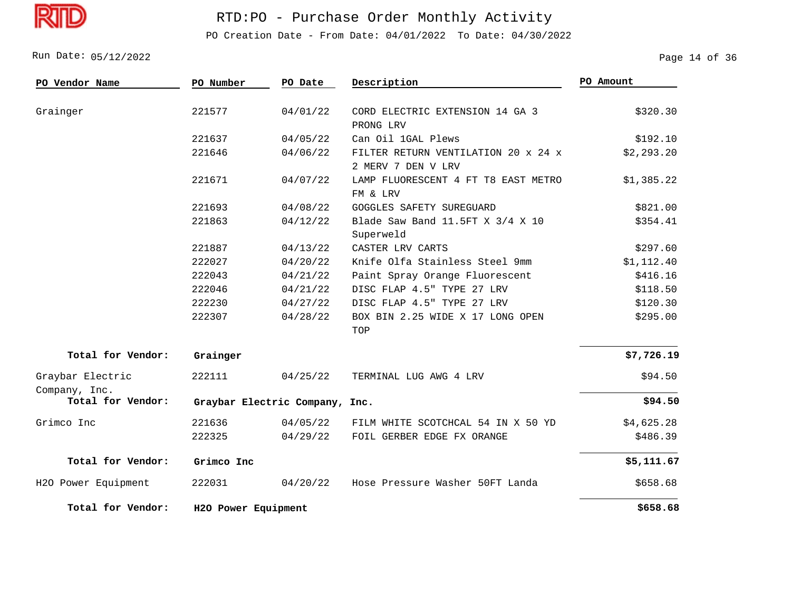D

# RTD:PO - Purchase Order Monthly Activity

PO Creation Date - From Date: 04/01/2022 To Date: 04/30/2022

Run Date: 05/12/2022 Page 14 of 36

| PO Vendor Name                    | PO Number                 | PO Date  | Description                                               | PO Amount  |
|-----------------------------------|---------------------------|----------|-----------------------------------------------------------|------------|
| Grainger                          | 221577                    | 04/01/22 | CORD ELECTRIC EXTENSION 14 GA 3<br>PRONG LRV              | \$320.30   |
|                                   | 221637                    | 04/05/22 | Can Oil 1GAL Plews                                        | \$192.10   |
|                                   | 221646                    | 04/06/22 | FILTER RETURN VENTILATION 20 x 24 x<br>2 MERV 7 DEN V LRV | \$2,293.20 |
|                                   | 221671                    | 04/07/22 | LAMP FLUORESCENT 4 FT T8 EAST METRO<br>FM & LRV           | \$1,385.22 |
|                                   | 221693                    | 04/08/22 | GOGGLES SAFETY SUREGUARD                                  | \$821.00   |
|                                   | 221863                    | 04/12/22 | Blade Saw Band 11.5FT X 3/4 X 10<br>Superweld             | \$354.41   |
|                                   | 221887                    | 04/13/22 | CASTER LRV CARTS                                          | \$297.60   |
|                                   | 222027                    | 04/20/22 | Knife Olfa Stainless Steel 9mm                            | \$1,112.40 |
|                                   | 222043                    | 04/21/22 | Paint Spray Orange Fluorescent                            | \$416.16   |
|                                   | 222046                    | 04/21/22 | DISC FLAP 4.5" TYPE 27 LRV                                | \$118.50   |
|                                   | 222230                    | 04/27/22 | DISC FLAP 4.5" TYPE 27 LRV                                | \$120.30   |
|                                   | 222307                    | 04/28/22 | BOX BIN 2.25 WIDE X 17 LONG OPEN<br>TOP                   | \$295.00   |
| Total for Vendor:                 | Grainger                  |          |                                                           | \$7,726.19 |
| Graybar Electric<br>Company, Inc. | 222111                    | 04/25/22 | TERMINAL LUG AWG 4 LRV                                    | \$94.50    |
| Total for Vendor:                 | Graybar Electric Company, |          | Inc.                                                      | \$94.50    |
| Grimco Inc                        | 221636                    | 04/05/22 | FILM WHITE SCOTCHCAL 54 IN X 50 YD                        | \$4,625.28 |
|                                   | 222325                    | 04/29/22 | FOIL GERBER EDGE FX ORANGE                                | \$486.39   |
| Total for Vendor:                 | Grimco Inc                |          |                                                           | \$5,111.67 |
| H2O Power Equipment               | 222031                    | 04/20/22 | Hose Pressure Washer 50FT Landa                           | \$658.68   |
| Total for Vendor:                 | H2O Power Equipment       |          |                                                           | \$658.68   |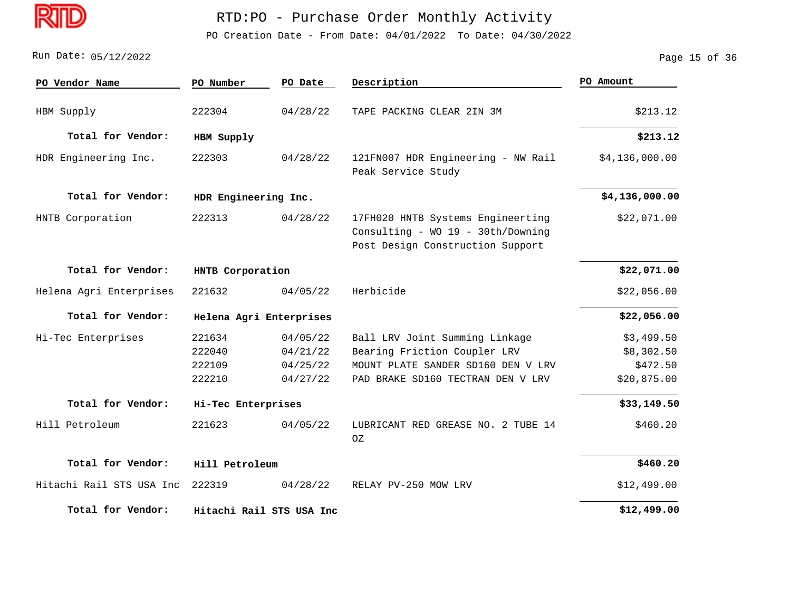

PO Creation Date - From Date: 04/01/2022 To Date: 04/30/2022

Run Date: 05/12/2022 2008 Page 15 of 36

| PO Vendor Name           | PO Number                            | PO Date                                      | Description                                                                                                                               | PO Amount                                           |
|--------------------------|--------------------------------------|----------------------------------------------|-------------------------------------------------------------------------------------------------------------------------------------------|-----------------------------------------------------|
| HBM Supply               | 222304                               | 04/28/22                                     | TAPE PACKING CLEAR 2IN 3M                                                                                                                 | \$213.12                                            |
| Total for Vendor:        | HBM Supply                           |                                              |                                                                                                                                           | \$213.12                                            |
| HDR Engineering Inc.     | 222303                               | 04/28/22                                     | 121FN007 HDR Engineering - NW Rail<br>Peak Service Study                                                                                  | \$4,136,000.00                                      |
| Total for Vendor:        | HDR Engineering Inc.                 |                                              |                                                                                                                                           | \$4,136,000.00                                      |
| HNTB Corporation         | 222313                               | 04/28/22                                     | 17FH020 HNTB Systems Engineerting<br>Consulting - WO 19 - 30th/Downing<br>Post Design Construction Support                                | \$22,071.00                                         |
| Total for Vendor:        | HNTB Corporation                     |                                              |                                                                                                                                           | \$22,071.00                                         |
| Helena Agri Enterprises  | 221632                               | 04/05/22                                     | Herbicide                                                                                                                                 | \$22,056.00                                         |
| Total for Vendor:        | Helena Agri Enterprises              |                                              |                                                                                                                                           | \$22,056.00                                         |
| Hi-Tec Enterprises       | 221634<br>222040<br>222109<br>222210 | 04/05/22<br>04/21/22<br>04/25/22<br>04/27/22 | Ball LRV Joint Summing Linkage<br>Bearing Friction Coupler LRV<br>MOUNT PLATE SANDER SD160 DEN V LRV<br>PAD BRAKE SD160 TECTRAN DEN V LRV | \$3,499.50<br>\$8,302.50<br>\$472.50<br>\$20,875.00 |
| Total for Vendor:        | Hi-Tec Enterprises                   |                                              |                                                                                                                                           | \$33,149.50                                         |
| Hill Petroleum           | 221623                               | 04/05/22                                     | LUBRICANT RED GREASE NO. 2 TUBE 14<br>0Z                                                                                                  | \$460.20                                            |
| Total for Vendor:        | Hill Petroleum                       |                                              |                                                                                                                                           | \$460.20                                            |
| Hitachi Rail STS USA Inc | 222319                               | 04/28/22                                     | RELAY PV-250 MOW LRV                                                                                                                      | \$12,499.00                                         |
| Total for Vendor:        |                                      | Hitachi Rail STS USA Inc                     |                                                                                                                                           | \$12,499.00                                         |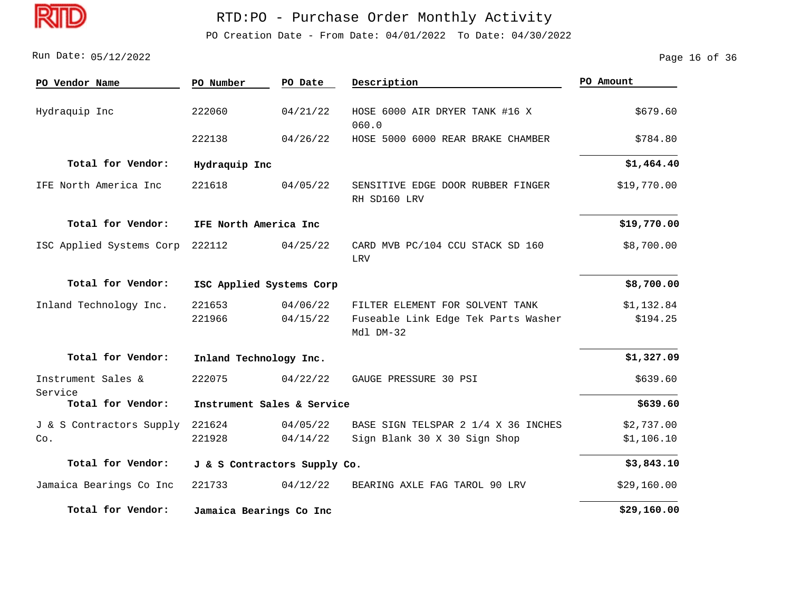

PO Creation Date - From Date: 04/01/2022 To Date: 04/30/2022

05/12/2022 Run Date: Page 16 of 36

| PO Vendor Name                  | PO Number                  | PO Date                      | Description                                                                         | PO Amount                |  |
|---------------------------------|----------------------------|------------------------------|-------------------------------------------------------------------------------------|--------------------------|--|
| Hydraquip Inc                   | 222060                     | 04/21/22                     | HOSE 6000 AIR DRYER TANK #16 X<br>060.0                                             | \$679.60                 |  |
|                                 | 222138                     | 04/26/22                     | HOSE 5000 6000 REAR BRAKE CHAMBER                                                   | \$784.80                 |  |
| Total for Vendor:               | Hydraquip Inc              |                              |                                                                                     | \$1,464.40               |  |
| IFE North America Inc           | 221618                     | 04/05/22                     | SENSITIVE EDGE DOOR RUBBER FINGER<br>RH SD160 LRV                                   | \$19,770.00              |  |
| Total for Vendor:               |                            | IFE North America Inc        |                                                                                     |                          |  |
| ISC Applied Systems Corp        | 222112                     | 04/25/22                     | CARD MVB PC/104 CCU STACK SD 160<br>LRV                                             | \$8,700.00               |  |
| Total for Vendor:               |                            | ISC Applied Systems Corp     |                                                                                     | \$8,700.00               |  |
| Inland Technology Inc.          | 221653<br>221966           | 04/06/22<br>04/15/22         | FILTER ELEMENT FOR SOLVENT TANK<br>Fuseable Link Edge Tek Parts Washer<br>Mdl DM-32 | \$1,132.84<br>\$194.25   |  |
| Total for Vendor:               | Inland Technology Inc.     |                              |                                                                                     | \$1,327.09               |  |
| Instrument Sales &<br>Service   | 222075                     | 04/22/22                     | GAUGE PRESSURE 30 PSI                                                               | \$639.60                 |  |
| Total for Vendor:               | Instrument Sales & Service | \$639.60                     |                                                                                     |                          |  |
| J & S Contractors Supply<br>Co. | 221624<br>221928           | 04/05/22<br>04/14/22         | BASE SIGN TELSPAR 2 1/4 X 36 INCHES<br>Sign Blank 30 X 30 Sign Shop                 | \$2,737.00<br>\$1,106.10 |  |
| Total for Vendor:               |                            | J & S Contractors Supply Co. |                                                                                     | \$3,843.10               |  |
| Jamaica Bearings Co Inc         | 221733                     | 04/12/22                     | BEARING AXLE FAG TAROL 90 LRV                                                       | \$29,160.00              |  |
| Total for Vendor:               | Jamaica Bearings Co Inc    |                              |                                                                                     | \$29,160.00              |  |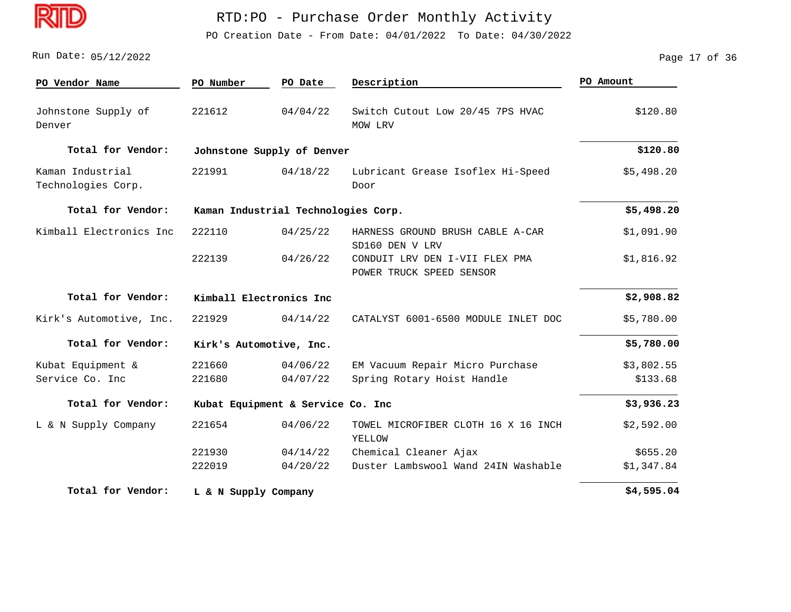

PO Creation Date - From Date: 04/01/2022 To Date: 04/30/2022

#### 05/12/2022 Run Date: Page 17 of 36

| PO Vendor Name                         | PO Number            | PO Date                             | Description                                                | PO Amount  |
|----------------------------------------|----------------------|-------------------------------------|------------------------------------------------------------|------------|
| Johnstone Supply of<br>Denver          | 221612               | 04/04/22                            | Switch Cutout Low 20/45 7PS HVAC<br>MOW LRV                | \$120.80   |
| Total for Vendor:                      |                      | Johnstone Supply of Denver          |                                                            | \$120.80   |
| Kaman Industrial<br>Technologies Corp. | 221991               | 04/18/22                            | Lubricant Grease Isoflex Hi-Speed<br>Door                  | \$5,498.20 |
| Total for Vendor:                      |                      | Kaman Industrial Technologies Corp. |                                                            | \$5,498.20 |
| Kimball Electronics Inc                | 222110               | 04/25/22                            | HARNESS GROUND BRUSH CABLE A-CAR<br>SD160 DEN V LRV        | \$1,091.90 |
|                                        | 222139               | 04/26/22                            | CONDUIT LRV DEN I-VII FLEX PMA<br>POWER TRUCK SPEED SENSOR | \$1,816.92 |
| Total for Vendor:                      |                      | Kimball Electronics Inc             |                                                            | \$2,908.82 |
| Kirk's Automotive, Inc.                | 221929               | 04/14/22                            | CATALYST 6001-6500 MODULE INLET DOC                        | \$5,780.00 |
| Total for Vendor:                      |                      | Kirk's Automotive, Inc.             |                                                            | \$5,780.00 |
| Kubat Equipment &                      | 221660               | 04/06/22                            | EM Vacuum Repair Micro Purchase                            | \$3,802.55 |
| Service Co. Inc                        | 221680               | 04/07/22                            | Spring Rotary Hoist Handle                                 | \$133.68   |
| Total for Vendor:                      |                      | Kubat Equipment & Service Co. Inc   |                                                            | \$3,936.23 |
| L & N Supply Company                   | 221654               | 04/06/22                            | TOWEL MICROFIBER CLOTH 16 X 16 INCH<br>YELLOW              | \$2,592.00 |
|                                        | 221930               | 04/14/22                            | Chemical Cleaner Ajax                                      | \$655.20   |
|                                        | 222019               | 04/20/22                            | Duster Lambswool Wand 24IN Washable                        | \$1,347.84 |
| Total for Vendor:                      | L & N Supply Company |                                     |                                                            | \$4,595.04 |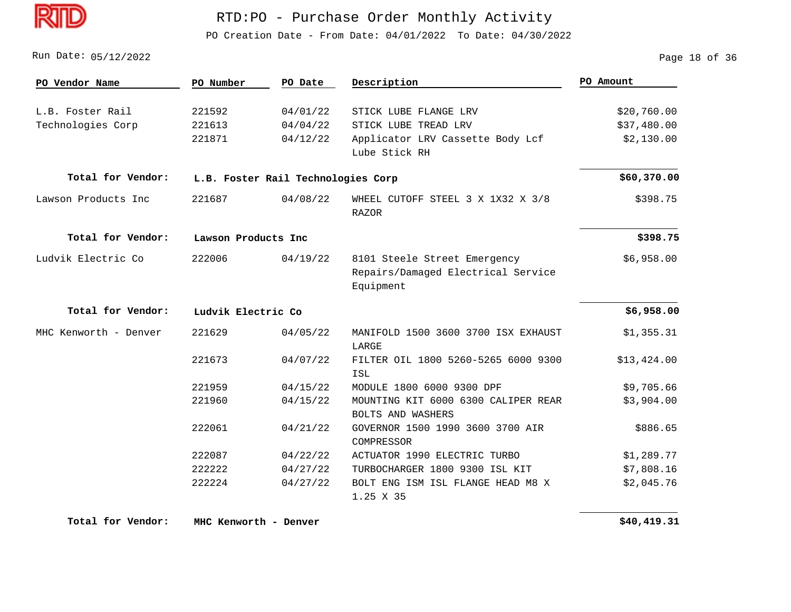

PO Creation Date - From Date: 04/01/2022 To Date: 04/30/2022

05/12/2022 Run Date: Page 18 of 36

| PO Vendor Name        | PO Number           | PO Date                            | Description                                                                     | PO Amount   |
|-----------------------|---------------------|------------------------------------|---------------------------------------------------------------------------------|-------------|
|                       |                     |                                    |                                                                                 |             |
| L.B. Foster Rail      | 221592              | 04/01/22                           | STICK LUBE FLANGE LRV                                                           | \$20,760.00 |
| Technologies Corp     | 221613              | 04/04/22                           | STICK LUBE TREAD LRV                                                            | \$37,480.00 |
|                       | 221871              | 04/12/22                           | Applicator LRV Cassette Body Lcf<br>Lube Stick RH                               | \$2,130.00  |
| Total for Vendor:     |                     | L.B. Foster Rail Technologies Corp |                                                                                 | \$60,370.00 |
| Lawson Products Inc   | 221687              | 04/08/22                           | WHEEL CUTOFF STEEL 3 X 1X32 X 3/8<br><b>RAZOR</b>                               | \$398.75    |
| Total for Vendor:     | Lawson Products Inc |                                    |                                                                                 | \$398.75    |
| Ludvik Electric Co    | 222006              | 04/19/22                           | 8101 Steele Street Emergency<br>Repairs/Damaged Electrical Service<br>Equipment | \$6,958.00  |
| Total for Vendor:     | Ludvik Electric Co  |                                    |                                                                                 | \$6,958.00  |
| MHC Kenworth - Denver | 221629              | 04/05/22                           | MANIFOLD 1500 3600 3700 ISX EXHAUST<br>LARGE                                    | \$1,355.31  |
|                       | 221673              | 04/07/22                           | FILTER OIL 1800 5260-5265 6000 9300<br>ISL                                      | \$13,424.00 |
|                       | 221959              | 04/15/22                           | MODULE 1800 6000 9300 DPF                                                       | \$9,705.66  |
|                       | 221960              | 04/15/22                           | MOUNTING KIT 6000 6300 CALIPER REAR<br><b>BOLTS AND WASHERS</b>                 | \$3,904.00  |
|                       | 222061              | 04/21/22                           | GOVERNOR 1500 1990 3600 3700 AIR<br>COMPRESSOR                                  | \$886.65    |
|                       | 222087              | 04/22/22                           | ACTUATOR 1990 ELECTRIC TURBO                                                    | \$1,289.77  |
|                       | 222222              | 04/27/22                           | TURBOCHARGER 1800 9300 ISL KIT                                                  | \$7,808.16  |
|                       | 222224              | 04/27/22                           | BOLT ENG ISM ISL FLANGE HEAD M8 X<br>1.25 X 35                                  | \$2,045.76  |

**Total for Vendor: MHC Kenworth - Denver**

 **\$40,419.31**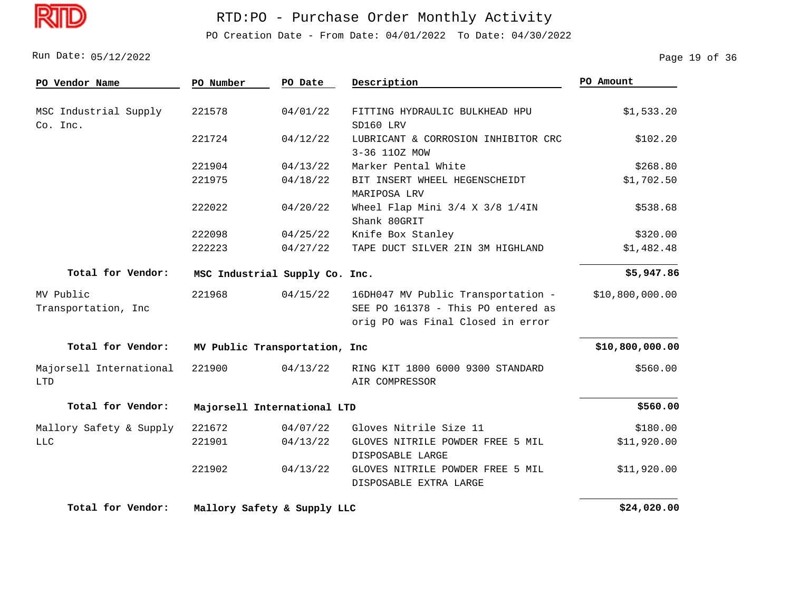PO Creation Date - From Date: 04/01/2022 To Date: 04/30/2022

05/12/2022 Run Date: Page 19 of 36

| PO Vendor Name                        | PO Number                      | PO Date  | Description                                                             | PO Amount       |
|---------------------------------------|--------------------------------|----------|-------------------------------------------------------------------------|-----------------|
| MSC Industrial Supply<br>Co. Inc.     | 221578                         | 04/01/22 | FITTING HYDRAULIC BULKHEAD HPU<br>SD160 LRV                             | \$1,533.20      |
|                                       | 221724                         | 04/12/22 | LUBRICANT & CORROSION INHIBITOR CRC<br>3-36 110Z MOW                    | \$102.20        |
|                                       | 221904                         | 04/13/22 | Marker Pental White                                                     | \$268.80        |
|                                       | 221975                         | 04/18/22 | BIT INSERT WHEEL HEGENSCHEIDT<br>MARIPOSA LRV                           | \$1,702.50      |
|                                       | 222022                         | 04/20/22 | Wheel Flap Mini 3/4 X 3/8 1/4IN<br>Shank 80GRIT                         | \$538.68        |
|                                       | 222098                         | 04/25/22 | Knife Box Stanley                                                       | \$320.00        |
|                                       | 222223                         | 04/27/22 | TAPE DUCT SILVER 2IN 3M HIGHLAND                                        | \$1,482.48      |
| Total for Vendor:                     | MSC Industrial Supply Co. Inc. |          |                                                                         | \$5,947.86      |
| MV Public                             | 221968                         | 04/15/22 | 16DH047 MV Public Transportation -                                      | \$10,800,000.00 |
| Transportation, Inc                   |                                |          | SEE PO 161378 - This PO entered as<br>orig PO was Final Closed in error |                 |
| Total for Vendor:                     | MV Public Transportation, Inc  |          |                                                                         | \$10,800,000.00 |
| Majorsell International<br><b>LTD</b> | 221900                         | 04/13/22 | RING KIT 1800 6000 9300 STANDARD<br>AIR COMPRESSOR                      | \$560.00        |
| Total for Vendor:                     | Majorsell International LTD    |          |                                                                         | \$560.00        |
| Mallory Safety & Supply               | 221672                         | 04/07/22 | Gloves Nitrile Size 11                                                  | \$180.00        |
| <b>LLC</b>                            | 221901                         | 04/13/22 | GLOVES NITRILE POWDER FREE 5 MIL<br>DISPOSABLE LARGE                    | \$11,920.00     |
|                                       | 221902                         | 04/13/22 | GLOVES NITRILE POWDER FREE 5 MIL<br>DISPOSABLE EXTRA LARGE              | \$11,920.00     |
| Total for Vendor:                     | Mallory Safety & Supply LLC    |          |                                                                         | \$24,020.00     |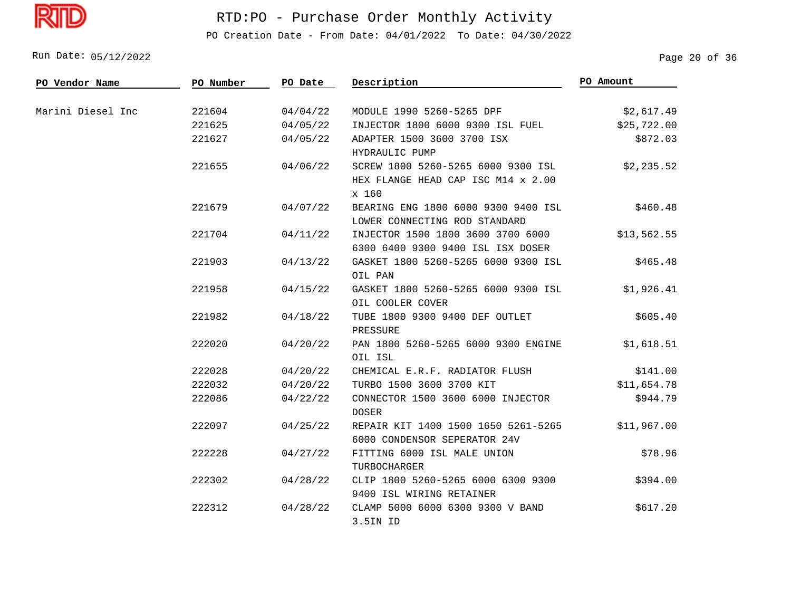D

# RTD:PO - Purchase Order Monthly Activity

PO Creation Date - From Date: 04/01/2022 To Date: 04/30/2022

Run Date: 05/12/2022 20 Page 20 of 36

| PO Vendor Name    | PO Number | PO Date  | Description                                                                       | PO Amount   |
|-------------------|-----------|----------|-----------------------------------------------------------------------------------|-------------|
| Marini Diesel Inc | 221604    | 04/04/22 | MODULE 1990 5260-5265 DPF                                                         | \$2,617.49  |
|                   | 221625    | 04/05/22 | INJECTOR 1800 6000 9300 ISL FUEL                                                  | \$25,722.00 |
|                   | 221627    | 04/05/22 | ADAPTER 1500 3600 3700 ISX<br>HYDRAULIC PUMP                                      | \$872.03    |
|                   | 221655    | 04/06/22 | SCREW 1800 5260-5265 6000 9300 ISL<br>HEX FLANGE HEAD CAP ISC M14 x 2.00<br>x 160 | \$2,235.52  |
|                   | 221679    | 04/07/22 | BEARING ENG 1800 6000 9300 9400 ISL<br>LOWER CONNECTING ROD STANDARD              | \$460.48    |
|                   | 221704    | 04/11/22 | INJECTOR 1500 1800 3600 3700 6000<br>6300 6400 9300 9400 ISL ISX DOSER            | \$13,562.55 |
|                   | 221903    | 04/13/22 | GASKET 1800 5260-5265 6000 9300 ISL<br>OIL PAN                                    | \$465.48    |
|                   | 221958    | 04/15/22 | GASKET 1800 5260-5265 6000 9300 ISL<br>OIL COOLER COVER                           | \$1,926.41  |
|                   | 221982    | 04/18/22 | TUBE 1800 9300 9400 DEF OUTLET<br>PRESSURE                                        | \$605.40    |
|                   | 222020    | 04/20/22 | PAN 1800 5260-5265 6000 9300 ENGINE<br>OIL ISL                                    | \$1,618.51  |
|                   | 222028    | 04/20/22 | CHEMICAL E.R.F. RADIATOR FLUSH                                                    | \$141.00    |
|                   | 222032    | 04/20/22 | TURBO 1500 3600 3700 KIT                                                          | \$11,654.78 |
|                   | 222086    | 04/22/22 | CONNECTOR 1500 3600 6000 INJECTOR<br><b>DOSER</b>                                 | \$944.79    |
|                   | 222097    | 04/25/22 | REPAIR KIT 1400 1500 1650 5261-5265<br>6000 CONDENSOR SEPERATOR 24V               | \$11,967.00 |
|                   | 222228    | 04/27/22 | FITTING 6000 ISL MALE UNION<br>TURBOCHARGER                                       | \$78.96     |
|                   | 222302    | 04/28/22 | CLIP 1800 5260-5265 6000 6300 9300<br>9400 ISL WIRING RETAINER                    | \$394.00    |
|                   | 222312    | 04/28/22 | CLAMP 5000 6000 6300 9300 V BAND<br>3.5IN ID                                      | \$617.20    |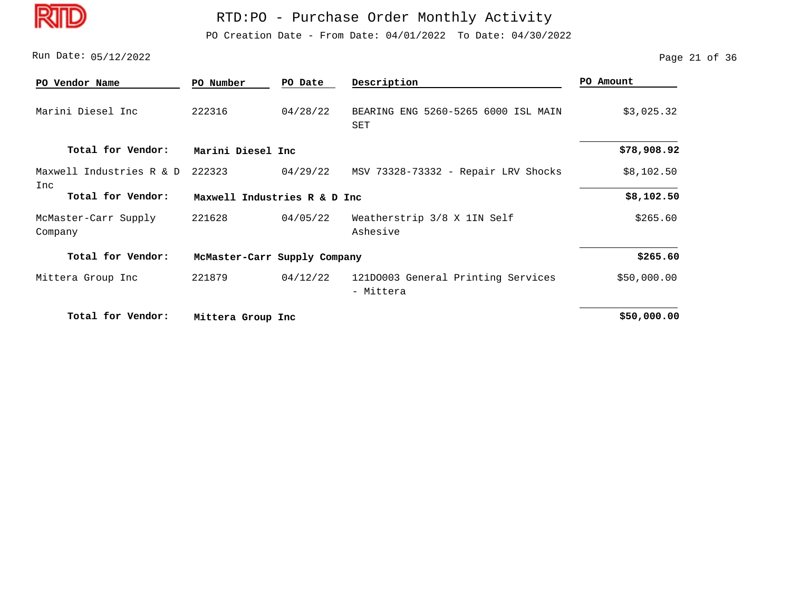D

## RTD:PO - Purchase Order Monthly Activity

PO Creation Date - From Date: 04/01/2022 To Date: 04/30/2022

05/12/2022 Run Date: Page 21 of 36

| PO Vendor Name                  | PO Number                    | PO Date                      | Description                                     | PO Amount   |  |  |
|---------------------------------|------------------------------|------------------------------|-------------------------------------------------|-------------|--|--|
| Marini Diesel Inc               | 222316                       | 04/28/22                     | BEARING ENG 5260-5265 6000 ISL MAIN<br>SET      | \$3,025.32  |  |  |
| Total for Vendor:               | Marini Diesel Inc            |                              |                                                 | \$78,908.92 |  |  |
| Maxwell Industries R & D        | 222323                       | 04/29/22                     | MSV 73328-73332 - Repair LRV Shocks             | \$8,102.50  |  |  |
| Inc<br>Total for Vendor:        |                              | Maxwell Industries R & D Inc |                                                 |             |  |  |
| McMaster-Carr Supply<br>Company | 221628                       | 04/05/22                     | Weatherstrip 3/8 X 1IN Self<br>Ashesive         | \$265.60    |  |  |
| Total for Vendor:               | McMaster-Carr Supply Company |                              |                                                 | \$265.60    |  |  |
| Mittera Group Inc               | 221879                       | 04/12/22                     | 121D0003 General Printing Services<br>- Mittera | \$50,000.00 |  |  |
| Total for Vendor:               | Mittera Group Inc            |                              |                                                 | \$50,000.00 |  |  |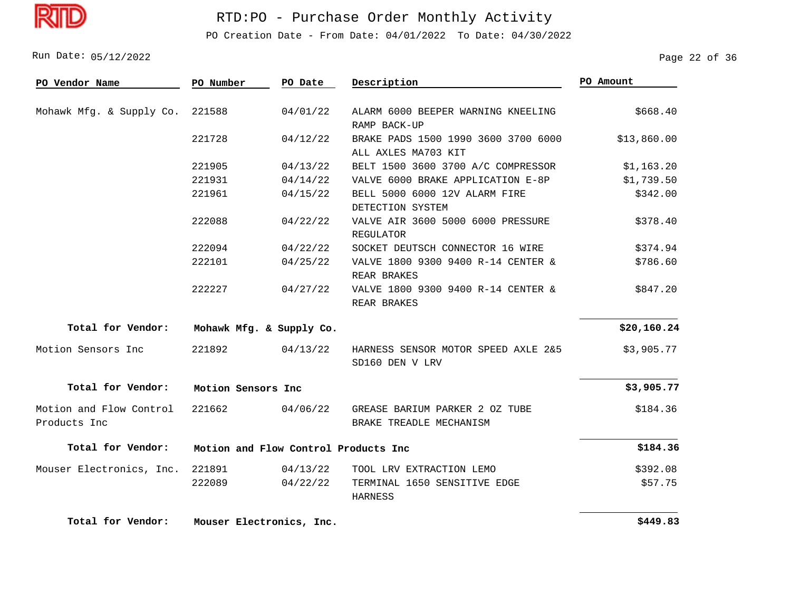

PO Creation Date - From Date: 04/01/2022 To Date: 04/30/2022

Run Date: 05/12/2022 20136 Page 22 Of 36

| PO Vendor Name                          | PO Number          | PO Date                              | Description                                                | PO Amount   |
|-----------------------------------------|--------------------|--------------------------------------|------------------------------------------------------------|-------------|
| Mohawk Mfg. & Supply Co.                | 221588             | 04/01/22                             | ALARM 6000 BEEPER WARNING KNEELING<br>RAMP BACK-UP         | \$668.40    |
|                                         | 221728             | 04/12/22                             | BRAKE PADS 1500 1990 3600 3700 6000<br>ALL AXLES MA703 KIT | \$13,860.00 |
|                                         | 221905             | 04/13/22                             | BELT 1500 3600 3700 A/C COMPRESSOR                         | \$1,163.20  |
|                                         | 221931             | 04/14/22                             | VALVE 6000 BRAKE APPLICATION E-8P                          | \$1,739.50  |
|                                         | 221961             | 04/15/22                             | BELL 5000 6000 12V ALARM FIRE<br>DETECTION SYSTEM          | \$342.00    |
|                                         | 222088             | 04/22/22                             | VALVE AIR 3600 5000 6000 PRESSURE<br><b>REGULATOR</b>      | \$378.40    |
|                                         | 222094             | 04/22/22                             | SOCKET DEUTSCH CONNECTOR 16 WIRE                           | \$374.94    |
|                                         | 222101             | 04/25/22                             | VALVE 1800 9300 9400 R-14 CENTER &<br>REAR BRAKES          | \$786.60    |
|                                         | 222227             | 04/27/22                             | VALVE 1800 9300 9400 R-14 CENTER &<br>REAR BRAKES          | \$847.20    |
| Total for Vendor:                       |                    | Mohawk Mfg. & Supply Co.             |                                                            | \$20,160.24 |
| Motion Sensors Inc                      | 221892             | 04/13/22                             | HARNESS SENSOR MOTOR SPEED AXLE 2&5<br>SD160 DEN V LRV     | \$3,905.77  |
| Total for Vendor:                       | Motion Sensors Inc |                                      |                                                            | \$3,905.77  |
| Motion and Flow Control<br>Products Inc | 221662             | 04/06/22                             | GREASE BARIUM PARKER 2 OZ TUBE<br>BRAKE TREADLE MECHANISM  | \$184.36    |
| Total for Vendor:                       |                    | Motion and Flow Control Products Inc |                                                            | \$184.36    |
| Mouser Electronics, Inc.                | 221891             | 04/13/22                             | TOOL LRV EXTRACTION LEMO                                   | \$392.08    |
|                                         | 222089             | 04/22/22                             | TERMINAL 1650 SENSITIVE EDGE<br>HARNESS                    | \$57.75     |
| Total for Vendor:                       |                    | Mouser Electronics, Inc.             |                                                            | \$449.83    |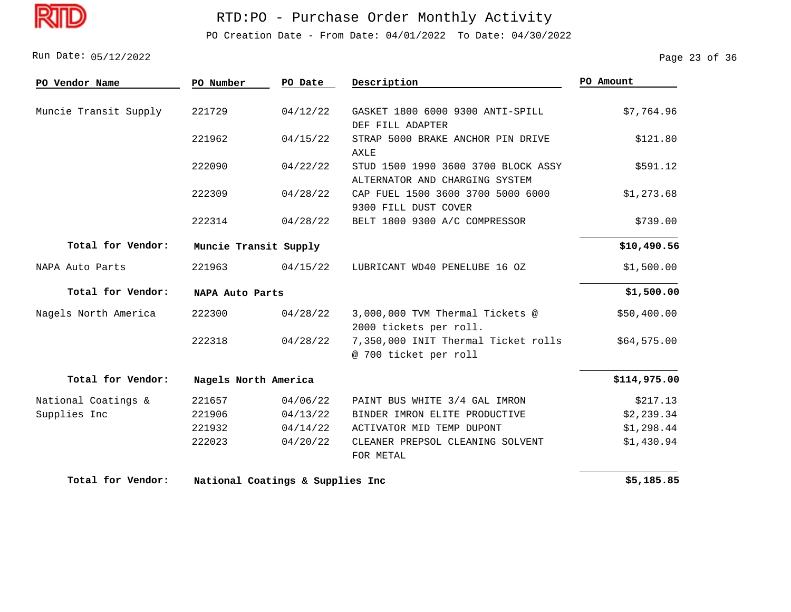

PO Creation Date - From Date: 04/01/2022 To Date: 04/30/2022

Run Date: 05/12/2022 23 Of 36

| PO Vendor Name        | PO Number             | PO Date                          | Description                                                           | PO Amount    |
|-----------------------|-----------------------|----------------------------------|-----------------------------------------------------------------------|--------------|
| Muncie Transit Supply | 221729                | 04/12/22                         | GASKET 1800 6000 9300 ANTI-SPILL<br>DEF FILL ADAPTER                  | \$7,764.96   |
|                       | 221962                | 04/15/22                         | STRAP 5000 BRAKE ANCHOR PIN DRIVE<br>AXLE                             | \$121.80     |
|                       | 222090                | 04/22/22                         | STUD 1500 1990 3600 3700 BLOCK ASSY<br>ALTERNATOR AND CHARGING SYSTEM | \$591.12     |
|                       | 222309                | 04/28/22                         | CAP FUEL 1500 3600 3700 5000 6000<br>9300 FILL DUST COVER             | \$1,273.68   |
|                       | 222314                | 04/28/22                         | BELT 1800 9300 A/C COMPRESSOR                                         | \$739.00     |
| Total for Vendor:     | Muncie Transit Supply |                                  |                                                                       | \$10,490.56  |
| NAPA Auto Parts       | 221963                | 04/15/22                         | LUBRICANT WD40 PENELUBE 16 OZ                                         | \$1,500.00   |
| Total for Vendor:     | NAPA Auto Parts       |                                  |                                                                       | \$1,500.00   |
| Nagels North America  | 222300                | 04/28/22                         | 3,000,000 TVM Thermal Tickets @<br>2000 tickets per roll.             | \$50,400.00  |
|                       | 222318                | 04/28/22                         | 7,350,000 INIT Thermal Ticket rolls<br>@ 700 ticket per roll          | \$64,575.00  |
| Total for Vendor:     | Nagels North America  |                                  |                                                                       | \$114,975.00 |
| National Coatings &   | 221657                | 04/06/22                         | PAINT BUS WHITE 3/4 GAL IMRON                                         | \$217.13     |
| Supplies Inc          | 221906                | 04/13/22                         | BINDER IMRON ELITE PRODUCTIVE                                         | \$2,239.34   |
|                       | 221932                | 04/14/22                         | ACTIVATOR MID TEMP DUPONT                                             | \$1,298.44   |
|                       | 222023                | 04/20/22                         | CLEANER PREPSOL CLEANING SOLVENT<br>FOR METAL                         | \$1,430.94   |
| Total for Vendor:     |                       | National Coatings & Supplies Inc |                                                                       | \$5,185.85   |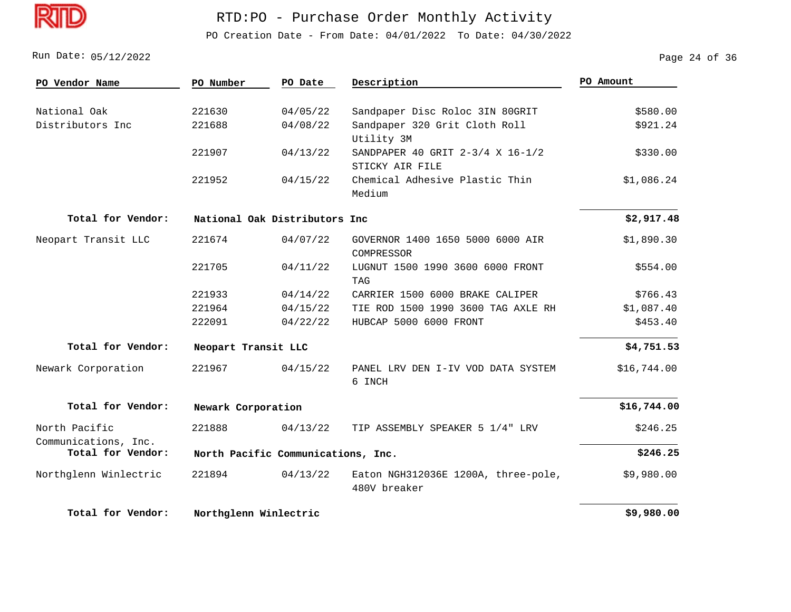

PO Creation Date - From Date: 04/01/2022 To Date: 04/30/2022

05/12/2022 Run Date: Page 24 of 36

| PO Vendor Name        | PO Number             | PO Date                            | Description                                         | PO Amount   |
|-----------------------|-----------------------|------------------------------------|-----------------------------------------------------|-------------|
| National Oak          | 221630                | 04/05/22                           | Sandpaper Disc Roloc 3IN 80GRIT                     | \$580.00    |
| Distributors Inc      | 221688                | 04/08/22                           | Sandpaper 320 Grit Cloth Roll                       | \$921.24    |
|                       |                       |                                    | Utility 3M                                          |             |
|                       | 221907                | 04/13/22                           | SANDPAPER 40 GRIT 2-3/4 X 16-1/2                    | \$330.00    |
|                       |                       |                                    | STICKY AIR FILE                                     |             |
|                       | 221952                | 04/15/22                           | Chemical Adhesive Plastic Thin                      | \$1,086.24  |
|                       |                       |                                    | Medium                                              |             |
| Total for Vendor:     |                       | National Oak Distributors Inc      |                                                     | \$2,917.48  |
| Neopart Transit LLC   | 221674                | 04/07/22                           | GOVERNOR 1400 1650 5000 6000 AIR<br>COMPRESSOR      | \$1,890.30  |
|                       | 221705                | 04/11/22                           | LUGNUT 1500 1990 3600 6000 FRONT<br><b>TAG</b>      | \$554.00    |
|                       | 221933                | 04/14/22                           | CARRIER 1500 6000 BRAKE CALIPER                     | \$766.43    |
|                       | 221964                | 04/15/22                           | TIE ROD 1500 1990 3600 TAG AXLE RH                  | \$1,087.40  |
|                       | 222091                | 04/22/22                           | HUBCAP 5000 6000 FRONT                              | \$453.40    |
| Total for Vendor:     | Neopart Transit LLC   |                                    |                                                     | \$4,751.53  |
| Newark Corporation    | 221967                | 04/15/22                           | PANEL LRV DEN I-IV VOD DATA SYSTEM<br>6 INCH        | \$16,744.00 |
| Total for Vendor:     | Newark Corporation    |                                    |                                                     | \$16,744.00 |
| North Pacific         | 221888                | 04/13/22                           | TIP ASSEMBLY SPEAKER 5 1/4" LRV                     | \$246.25    |
| Communications, Inc.  |                       |                                    |                                                     |             |
| Total for Vendor:     |                       | North Pacific Communications, Inc. |                                                     | \$246.25    |
| Northglenn Winlectric | 221894                | 04/13/22                           | Eaton NGH312036E 1200A, three-pole,<br>480V breaker | \$9,980.00  |
| Total for Vendor:     | Northglenn Winlectric |                                    |                                                     | \$9,980.00  |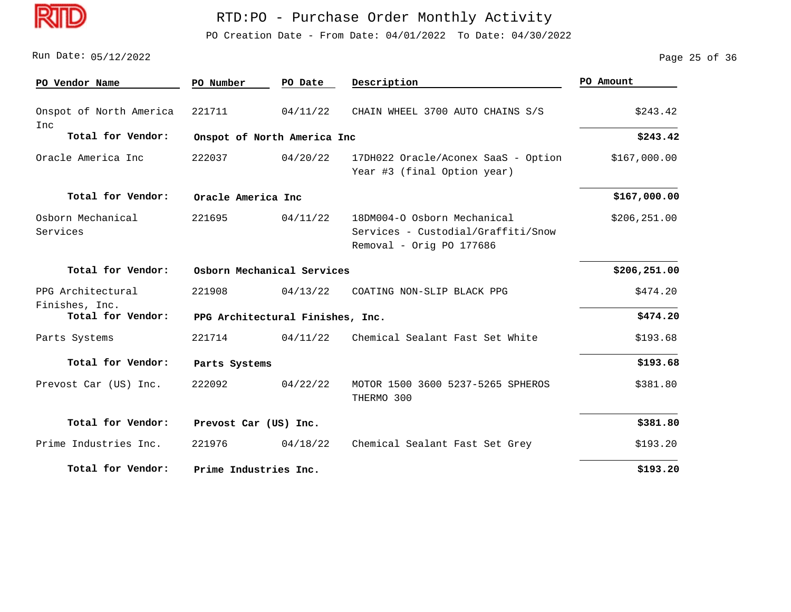

PO Creation Date - From Date: 04/01/2022 To Date: 04/30/2022

#### Run Date: 05/12/2022 25 Of 36

| PO Vendor Name                      | PO Number             | PO Date                          | Description                                                                                   | PO Amount     |  |
|-------------------------------------|-----------------------|----------------------------------|-----------------------------------------------------------------------------------------------|---------------|--|
| Onspot of North America<br>Inc      | 221711                | 04/11/22                         | CHAIN WHEEL 3700 AUTO CHAINS S/S                                                              | \$243.42      |  |
| Total for Vendor:                   |                       | Onspot of North America Inc      |                                                                                               | \$243.42      |  |
| Oracle America Inc                  | 222037                | 04/20/22                         | 17DH022 Oracle/Aconex SaaS - Option<br>Year #3 (final Option year)                            | \$167,000.00  |  |
| Total for Vendor:                   |                       | Oracle America Inc               |                                                                                               |               |  |
| Osborn Mechanical<br>Services       | 221695                | 04/11/22                         | 18DM004-0 Osborn Mechanical<br>Services - Custodial/Graffiti/Snow<br>Removal - Orig PO 177686 | \$206, 251.00 |  |
| Total for Vendor:                   |                       | Osborn Mechanical Services       |                                                                                               | \$206,251.00  |  |
| PPG Architectural                   | 221908                | 04/13/22                         | COATING NON-SLIP BLACK PPG                                                                    | \$474.20      |  |
| Finishes, Inc.<br>Total for Vendor: |                       | PPG Architectural Finishes, Inc. |                                                                                               | \$474.20      |  |
| Parts Systems                       | 221714                | 04/11/22                         | Chemical Sealant Fast Set White                                                               | \$193.68      |  |
| Total for Vendor:                   | Parts Systems         |                                  |                                                                                               | \$193.68      |  |
| Prevost Car (US) Inc.               | 222092                | 04/22/22                         | MOTOR 1500 3600 5237-5265 SPHEROS<br>THERMO 300                                               | \$381.80      |  |
| Total for Vendor:                   | Prevost Car (US) Inc. |                                  |                                                                                               | \$381.80      |  |
| Prime Industries Inc.               | 221976                | 04/18/22                         | Chemical Sealant Fast Set Grey                                                                | \$193.20      |  |
| Total for Vendor:                   | Prime Industries Inc. |                                  |                                                                                               | \$193.20      |  |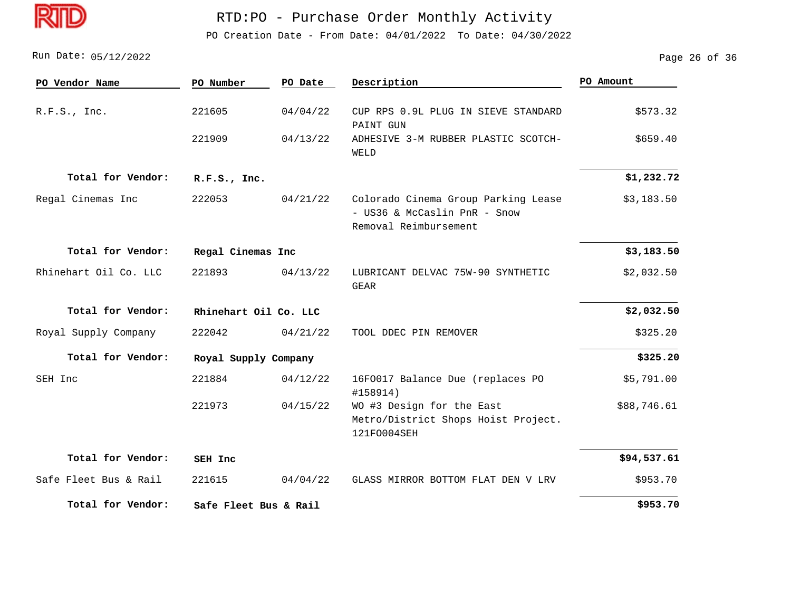

PO Creation Date - From Date: 04/01/2022 To Date: 04/30/2022

05/12/2022 Run Date: Page 26 of 36

| PO Vendor Name        | PO Number             | PO Date  | Description                                                                                  | PO Amount   |
|-----------------------|-----------------------|----------|----------------------------------------------------------------------------------------------|-------------|
| R.F.S., Inc.          | 221605                | 04/04/22 | CUP RPS 0.9L PLUG IN SIEVE STANDARD<br>PAINT GUN                                             | \$573.32    |
|                       | 221909                | 04/13/22 | ADHESIVE 3-M RUBBER PLASTIC SCOTCH-<br>WELD                                                  | \$659.40    |
| Total for Vendor:     | R.F.S., Inc.          |          |                                                                                              | \$1,232.72  |
| Regal Cinemas Inc     | 222053                | 04/21/22 | Colorado Cinema Group Parking Lease<br>- US36 & McCaslin PnR - Snow<br>Removal Reimbursement | \$3,183.50  |
| Total for Vendor:     | Regal Cinemas Inc     |          |                                                                                              | \$3,183.50  |
| Rhinehart Oil Co. LLC | 221893                | 04/13/22 | LUBRICANT DELVAC 75W-90 SYNTHETIC<br><b>GEAR</b>                                             | \$2,032.50  |
| Total for Vendor:     | Rhinehart Oil Co. LLC |          |                                                                                              | \$2,032.50  |
| Royal Supply Company  | 222042                | 04/21/22 | TOOL DDEC PIN REMOVER                                                                        | \$325.20    |
| Total for Vendor:     | Royal Supply Company  |          |                                                                                              | \$325.20    |
| SEH Inc               | 221884                | 04/12/22 | 16F0017 Balance Due (replaces PO<br>#158914)                                                 | \$5,791.00  |
|                       | 221973                | 04/15/22 | WO #3 Design for the East<br>Metro/District Shops Hoist Project.<br>121F0004SEH              | \$88,746.61 |
| Total for Vendor:     | SEH Inc               |          |                                                                                              | \$94,537.61 |
| Safe Fleet Bus & Rail | 221615                | 04/04/22 | GLASS MIRROR BOTTOM FLAT DEN V LRV                                                           | \$953.70    |
| Total for Vendor:     | Safe Fleet Bus & Rail |          |                                                                                              | \$953.70    |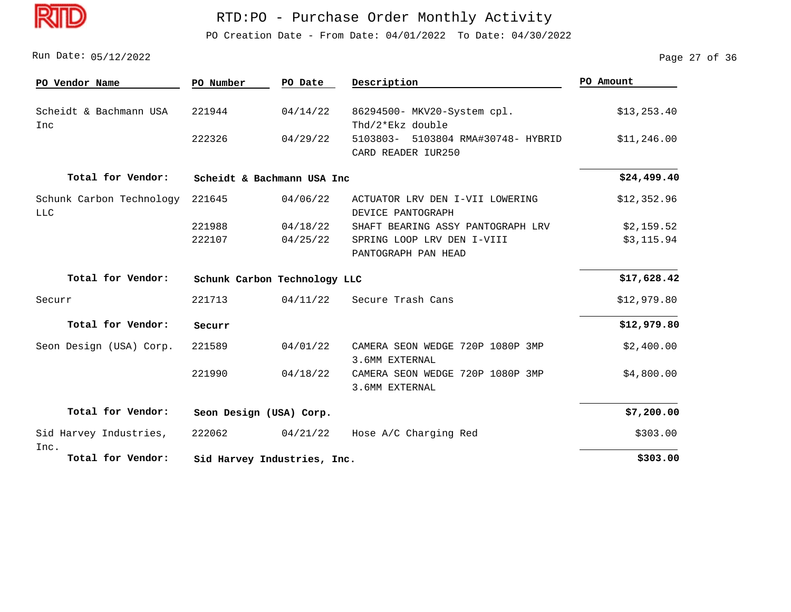

PO Creation Date - From Date: 04/01/2022 To Date: 04/30/2022

Run Date: 05/12/2022 2008 Page 27 of 36

| PO Vendor Name                 | PO Number               | PO Date                      | Description                        | PO Amount    |  |  |
|--------------------------------|-------------------------|------------------------------|------------------------------------|--------------|--|--|
|                                |                         |                              |                                    |              |  |  |
| Scheidt & Bachmann USA         | 221944                  | 04/14/22                     | 86294500- MKV20-System cpl.        | \$13, 253.40 |  |  |
| Inc                            |                         |                              | Thd/2*Ekz double                   |              |  |  |
|                                | 222326                  | 04/29/22                     | 5103803- 5103804 RMA#30748- HYBRID | \$11,246.00  |  |  |
|                                |                         |                              | CARD READER IUR250                 |              |  |  |
| Total for Vendor:              |                         | Scheidt & Bachmann USA Inc   |                                    | \$24,499.40  |  |  |
| Schunk Carbon Technology       | 221645                  | 04/06/22                     | ACTUATOR LRV DEN I-VII LOWERING    | \$12,352.96  |  |  |
| <b>LLC</b>                     |                         |                              | DEVICE PANTOGRAPH                  |              |  |  |
|                                | 221988                  | 04/18/22                     | SHAFT BEARING ASSY PANTOGRAPH LRV  | \$2,159.52   |  |  |
|                                | 222107                  | 04/25/22                     | SPRING LOOP LRV DEN I-VIII         | \$3,115.94   |  |  |
|                                |                         |                              | PANTOGRAPH PAN HEAD                |              |  |  |
| Total for Vendor:              |                         | Schunk Carbon Technology LLC |                                    | \$17,628.42  |  |  |
| Securr                         | 221713                  | 04/11/22                     | Secure Trash Cans                  | \$12,979.80  |  |  |
| Total for Vendor:              | Securr                  |                              |                                    | \$12,979.80  |  |  |
| Seon Design (USA) Corp.        | 221589                  | 04/01/22                     | CAMERA SEON WEDGE 720P 1080P 3MP   | \$2,400.00   |  |  |
|                                |                         |                              | 3.6MM EXTERNAL                     |              |  |  |
|                                | 221990                  | 04/18/22                     | CAMERA SEON WEDGE 720P 1080P 3MP   | \$4,800.00   |  |  |
|                                |                         |                              | 3.6MM EXTERNAL                     |              |  |  |
| Total for Vendor:              | Seon Design (USA) Corp. |                              |                                    | \$7,200.00   |  |  |
|                                |                         |                              |                                    |              |  |  |
| Sid Harvey Industries,<br>Inc. | 222062                  | 04/21/22                     | Hose A/C Charging Red              | \$303.00     |  |  |
| Total for Vendor:              |                         | Sid Harvey Industries, Inc.  |                                    |              |  |  |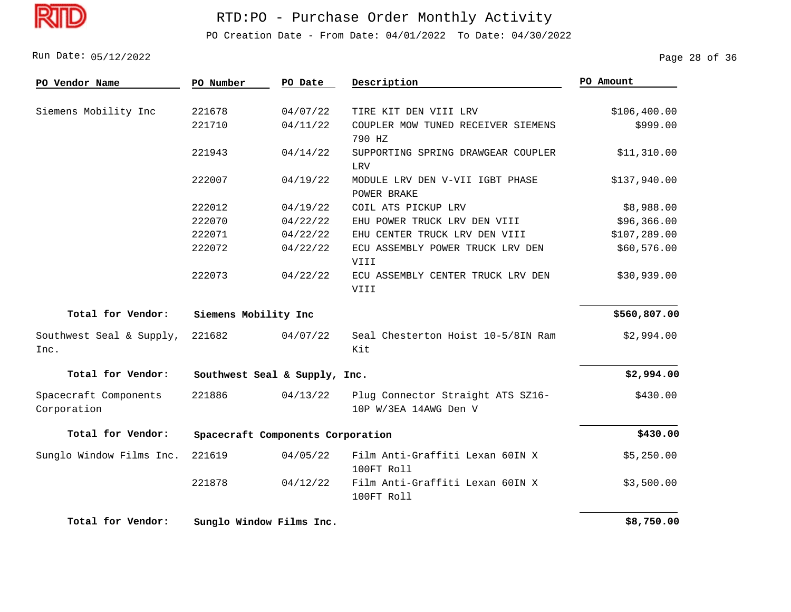

PO Creation Date - From Date: 04/01/2022 To Date: 04/30/2022

Run Date: 05/12/2022 28 Of 36

| PO Vendor Name                       | PO Number            | PO Date                           | Description                                                | PO Amount     |
|--------------------------------------|----------------------|-----------------------------------|------------------------------------------------------------|---------------|
| Siemens Mobility Inc                 | 221678               | 04/07/22                          | TIRE KIT DEN VIII LRV                                      | \$106, 400.00 |
|                                      | 221710               | 04/11/22                          | COUPLER MOW TUNED RECEIVER SIEMENS                         | \$999.00      |
|                                      |                      |                                   | 790 HZ                                                     |               |
|                                      | 221943               | 04/14/22                          | SUPPORTING SPRING DRAWGEAR COUPLER                         | \$11,310.00   |
|                                      |                      |                                   | LRV                                                        |               |
|                                      | 222007               | 04/19/22                          | MODULE LRV DEN V-VII IGBT PHASE                            | \$137,940.00  |
|                                      |                      |                                   | POWER BRAKE                                                |               |
|                                      | 222012               | 04/19/22                          | COIL ATS PICKUP LRV                                        | \$8,988.00    |
|                                      | 222070               | 04/22/22                          | EHU POWER TRUCK LRV DEN VIII                               | \$96,366.00   |
|                                      | 222071               | 04/22/22                          | EHU CENTER TRUCK LRV DEN VIII                              | \$107,289.00  |
|                                      | 222072               | 04/22/22                          | ECU ASSEMBLY POWER TRUCK LRV DEN                           | \$60,576.00   |
|                                      |                      |                                   | VIII                                                       |               |
|                                      | 222073               | 04/22/22                          | ECU ASSEMBLY CENTER TRUCK LRV DEN                          | \$30,939.00   |
|                                      |                      |                                   | VIII                                                       |               |
| Total for Vendor:                    | Siemens Mobility Inc |                                   |                                                            | \$560,807.00  |
| Southwest Seal & Supply,<br>Inc.     | 221682               | 04/07/22                          | Seal Chesterton Hoist 10-5/8IN Ram<br>Kit                  | \$2,994.00    |
| Total for Vendor:                    |                      | Southwest Seal & Supply, Inc.     |                                                            | \$2,994.00    |
| Spacecraft Components<br>Corporation | 221886               | 04/13/22                          | Plug Connector Straight ATS SZ16-<br>10P W/3EA 14AWG Den V | \$430.00      |
| Total for Vendor:                    |                      | Spacecraft Components Corporation |                                                            | \$430.00      |
| Sunglo Window Films Inc.             | 221619               | 04/05/22                          | Film Anti-Graffiti Lexan 60IN X<br>100FT Roll              | \$5,250.00    |
|                                      | 221878               | 04/12/22                          | Film Anti-Graffiti Lexan 60IN X<br>100FT Roll              | \$3,500.00    |
| Total for Vendor:                    |                      | Sunglo Window Films Inc.          |                                                            | \$8,750.00    |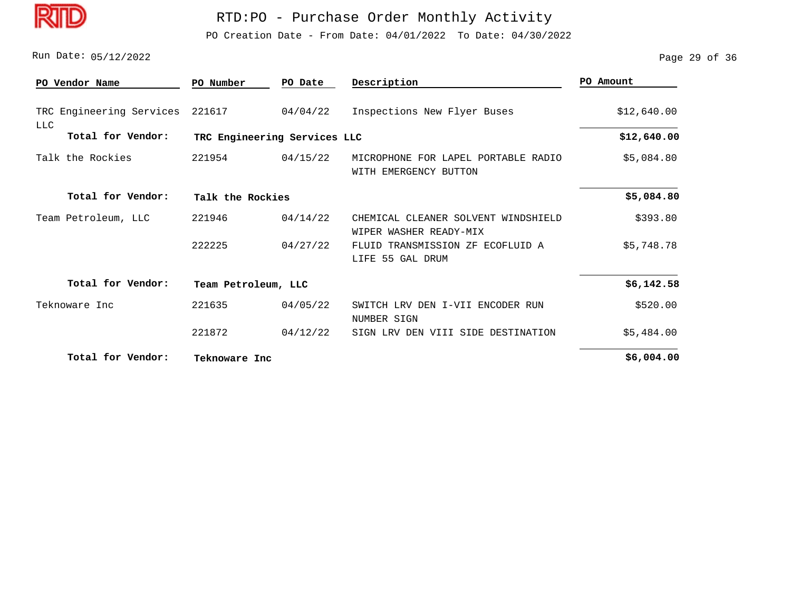

PO Creation Date - From Date: 04/01/2022 To Date: 04/30/2022

Run Date: 05/12/2022 2005 2006 2007 2007 2008 2007 2009 2007 2008 2007 2009 2007 2008 21:00 2007 2008 21:00 20

| PO Vendor Name                         | PO Number           | PO Date                      | Description                                                   | PO Amount   |  |  |
|----------------------------------------|---------------------|------------------------------|---------------------------------------------------------------|-------------|--|--|
| TRC Engineering Services<br><b>LLC</b> | 221617              | 04/04/22                     | Inspections New Flyer Buses                                   | \$12,640.00 |  |  |
| Total for Vendor:                      |                     | TRC Engineering Services LLC |                                                               |             |  |  |
| Talk the Rockies                       | 221954              | 04/15/22                     | MICROPHONE FOR LAPEL PORTABLE RADIO<br>WITH EMERGENCY BUTTON  | \$5,084.80  |  |  |
| Total for Vendor:                      |                     | Talk the Rockies             |                                                               |             |  |  |
| Team Petroleum, LLC                    | 221946              | 04/14/22                     | CHEMICAL CLEANER SOLVENT WINDSHIELD<br>WIPER WASHER READY-MIX | \$393.80    |  |  |
|                                        | 222225              | 04/27/22                     | TRANSMISSION ZF ECOFLUID A<br>FLUID<br>LIFE 55 GAL DRUM       | \$5,748.78  |  |  |
| Total for Vendor:                      | Team Petroleum, LLC |                              |                                                               | \$6,142.58  |  |  |
| Teknoware Inc                          | 221635              | 04/05/22                     | SWITCH LRV<br>DEN I-VII ENCODER RUN<br>NUMBER SIGN            | \$520.00    |  |  |
|                                        | 221872              | 04/12/22                     | SIGN LRV DEN VIII SIDE DESTINATION                            | \$5,484.00  |  |  |
| Total for Vendor:                      | Teknoware Inc       |                              |                                                               | \$6,004.00  |  |  |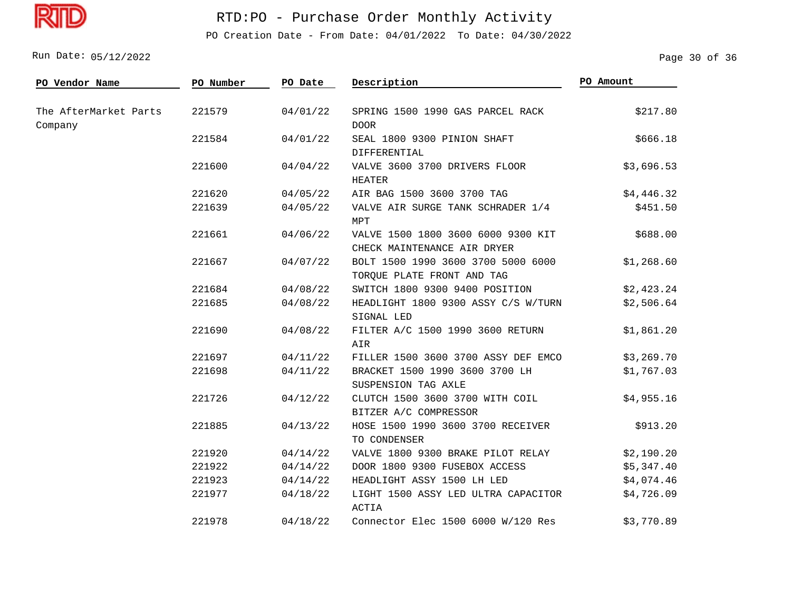

PO Creation Date - From Date: 04/01/2022 To Date: 04/30/2022

Run Date: 05/12/2022 2005 2006 2007 2008 2007 2010 2010 2010 2010 2020 2031 2040 2040 2040 2040 2040 2040 2040

| PO Vendor Name                   | PO Number | PO Date  | Description                                                       | PO Amount  |
|----------------------------------|-----------|----------|-------------------------------------------------------------------|------------|
| The AfterMarket Parts<br>Company | 221579    | 04/01/22 | SPRING 1500 1990 GAS PARCEL RACK<br><b>DOOR</b>                   | \$217.80   |
|                                  | 221584    | 04/01/22 | SEAL 1800 9300 PINION SHAFT<br>DIFFERENTIAL                       | \$666.18   |
|                                  | 221600    | 04/04/22 | VALVE 3600 3700 DRIVERS FLOOR<br><b>HEATER</b>                    | \$3,696.53 |
|                                  | 221620    | 04/05/22 | AIR BAG 1500 3600 3700 TAG                                        | \$4,446.32 |
|                                  | 221639    | 04/05/22 | VALVE AIR SURGE TANK SCHRADER 1/4<br>MPT                          | \$451.50   |
|                                  | 221661    | 04/06/22 | VALVE 1500 1800 3600 6000 9300 KIT<br>CHECK MAINTENANCE AIR DRYER | \$688.00   |
|                                  | 221667    | 04/07/22 | BOLT 1500 1990 3600 3700 5000 6000<br>TORQUE PLATE FRONT AND TAG  | \$1,268.60 |
|                                  | 221684    | 04/08/22 | SWITCH 1800 9300 9400 POSITION                                    | \$2,423.24 |
|                                  | 221685    | 04/08/22 | HEADLIGHT 1800 9300 ASSY C/S W/TURN<br>SIGNAL LED                 | \$2,506.64 |
|                                  | 221690    | 04/08/22 | FILTER A/C 1500 1990 3600 RETURN<br>AIR                           | \$1,861.20 |
|                                  | 221697    | 04/11/22 | FILLER 1500 3600 3700 ASSY DEF EMCO                               | \$3,269.70 |
|                                  | 221698    | 04/11/22 | BRACKET 1500 1990 3600 3700 LH<br>SUSPENSION TAG AXLE             | \$1,767.03 |
|                                  | 221726    | 04/12/22 | CLUTCH 1500 3600 3700 WITH COIL<br>BITZER A/C COMPRESSOR          | \$4,955.16 |
|                                  | 221885    | 04/13/22 | HOSE 1500 1990 3600 3700 RECEIVER<br>TO CONDENSER                 | \$913.20   |
|                                  | 221920    | 04/14/22 | VALVE 1800 9300 BRAKE PILOT RELAY                                 | \$2,190.20 |
|                                  | 221922    | 04/14/22 | DOOR 1800 9300 FUSEBOX ACCESS                                     | \$5,347.40 |
|                                  | 221923    | 04/14/22 | HEADLIGHT ASSY 1500 LH LED                                        | \$4,074.46 |
|                                  | 221977    | 04/18/22 | LIGHT 1500 ASSY LED ULTRA CAPACITOR<br><b>ACTIA</b>               | \$4,726.09 |
|                                  | 221978    | 04/18/22 | Connector Elec 1500 6000 W/120 Res                                | \$3,770.89 |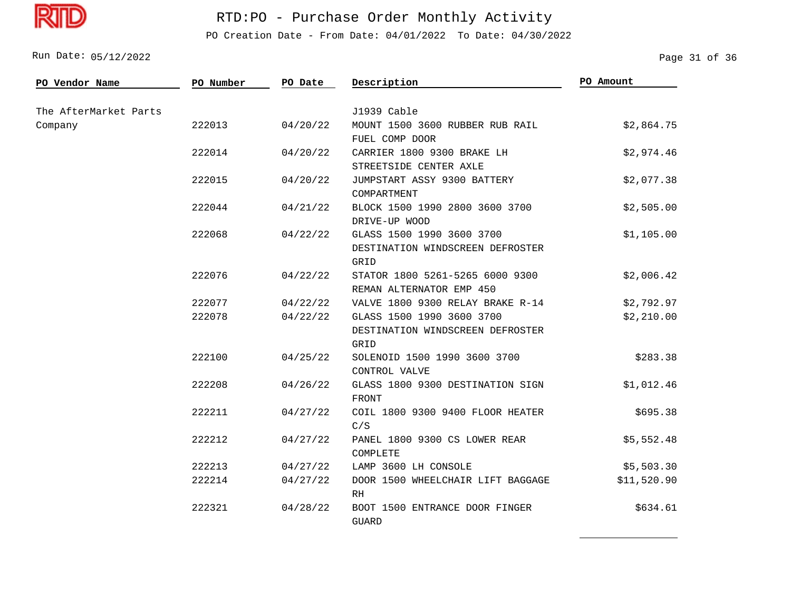

## RTD:PO - Purchase Order Monthly Activity

PO Creation Date - From Date: 04/01/2022 To Date: 04/30/2022

Run Date: 05/12/2022 2008 Page 31 of 36

| PO Vendor Name        | PO Number | PO Date  | Description                                                           | PO Amount   |
|-----------------------|-----------|----------|-----------------------------------------------------------------------|-------------|
| The AfterMarket Parts |           |          | J1939 Cable                                                           |             |
| Company               | 222013    | 04/20/22 | MOUNT 1500 3600 RUBBER RUB RAIL<br>FUEL COMP DOOR                     | \$2,864.75  |
|                       | 222014    | 04/20/22 | CARRIER 1800 9300 BRAKE LH<br>STREETSIDE CENTER AXLE                  | \$2,974.46  |
|                       | 222015    | 04/20/22 | JUMPSTART ASSY 9300 BATTERY<br>COMPARTMENT                            | \$2,077.38  |
|                       | 222044    | 04/21/22 | BLOCK 1500 1990 2800 3600 3700<br>DRIVE-UP WOOD                       | \$2,505.00  |
|                       | 222068    | 04/22/22 | GLASS 1500 1990 3600 3700<br>DESTINATION WINDSCREEN DEFROSTER<br>GRID | \$1,105.00  |
|                       | 222076    | 04/22/22 | STATOR 1800 5261-5265 6000 9300<br>REMAN ALTERNATOR EMP 450           | \$2,006.42  |
|                       | 222077    | 04/22/22 | VALVE 1800 9300 RELAY BRAKE R-14                                      | \$2,792.97  |
|                       | 222078    | 04/22/22 | GLASS 1500 1990 3600 3700<br>DESTINATION WINDSCREEN DEFROSTER<br>GRID | \$2,210.00  |
|                       | 222100    | 04/25/22 | SOLENOID 1500 1990 3600 3700<br>CONTROL VALVE                         | \$283.38    |
|                       | 222208    | 04/26/22 | GLASS 1800 9300 DESTINATION SIGN<br>FRONT                             | \$1,012.46  |
|                       | 222211    | 04/27/22 | COIL 1800 9300 9400 FLOOR HEATER<br>C/S                               | \$695.38    |
|                       | 222212    | 04/27/22 | PANEL 1800 9300 CS LOWER REAR<br>COMPLETE                             | \$5,552.48  |
|                       | 222213    | 04/27/22 | LAMP 3600 LH CONSOLE                                                  | \$5,503.30  |
|                       | 222214    | 04/27/22 | DOOR 1500 WHEELCHAIR LIFT BAGGAGE<br>RH                               | \$11,520.90 |
|                       | 222321    | 04/28/22 | BOOT 1500 ENTRANCE DOOR FINGER<br><b>GUARD</b>                        | \$634.61    |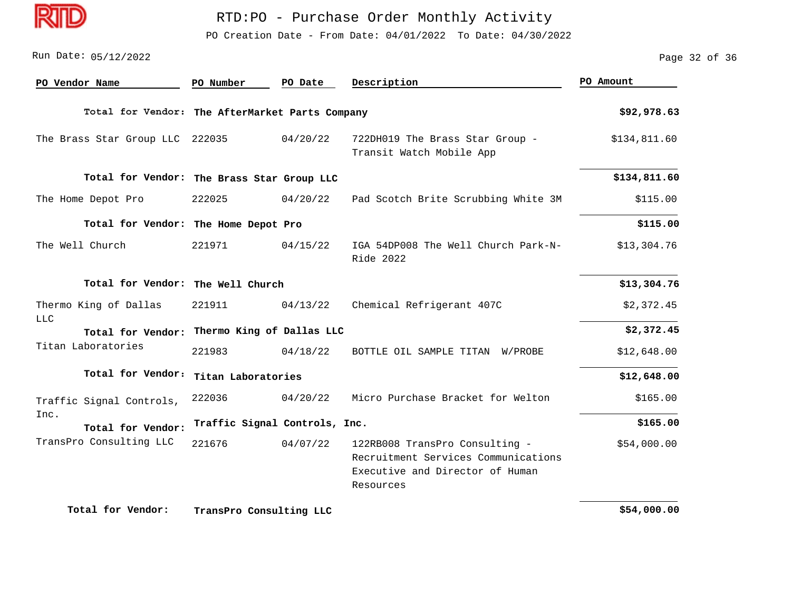

PO Creation Date - From Date: 04/01/2022 To Date: 04/30/2022

| PO Vendor Name                                  | PO Number               | PO Date                       | Description                                                                                                           | PO Amount    |
|-------------------------------------------------|-------------------------|-------------------------------|-----------------------------------------------------------------------------------------------------------------------|--------------|
| Total for Vendor: The AfterMarket Parts Company |                         |                               |                                                                                                                       | \$92,978.63  |
| The Brass Star Group LLC 222035                 |                         | 04/20/22                      | 722DH019 The Brass Star Group -<br>Transit Watch Mobile App                                                           | \$134,811.60 |
| Total for Vendor: The Brass Star Group LLC      |                         |                               |                                                                                                                       | \$134,811.60 |
| The Home Depot Pro                              | 222025                  | 04/20/22                      | Pad Scotch Brite Scrubbing White 3M                                                                                   | \$115.00     |
| Total for Vendor: The Home Depot Pro            |                         |                               |                                                                                                                       | \$115.00     |
| The Well Church                                 | 221971                  | 04/15/22                      | IGA 54DP008 The Well Church Park-N-<br>Ride 2022                                                                      | \$13,304.76  |
| Total for Vendor: The Well Church               |                         |                               |                                                                                                                       | \$13,304.76  |
| Thermo King of Dallas                           | 221911                  | 04/13/22                      | Chemical Refrigerant 407C                                                                                             | \$2,372.45   |
| <b>LLC</b><br>Total for Vendor:                 |                         | Thermo King of Dallas LLC     |                                                                                                                       | \$2,372.45   |
| Titan Laboratories                              | 221983                  | 04/18/22                      | BOTTLE OIL SAMPLE TITAN W/PROBE                                                                                       | \$12,648.00  |
| Total for Vendor:                               | Titan Laboratories      |                               |                                                                                                                       | \$12,648.00  |
| Traffic Signal Controls,                        | 222036                  | 04/20/22                      | Micro Purchase Bracket for Welton                                                                                     | \$165.00     |
| Inc.<br>Total for Vendor:                       |                         | Traffic Signal Controls, Inc. |                                                                                                                       | \$165.00     |
| TransPro Consulting LLC                         | 221676                  | 04/07/22                      | 122RB008 TransPro Consulting -<br>Recruitment Services Communications<br>Executive and Director of Human<br>Resources | \$54,000.00  |
| Total for Vendor:                               | TransPro Consulting LLC |                               |                                                                                                                       | \$54,000.00  |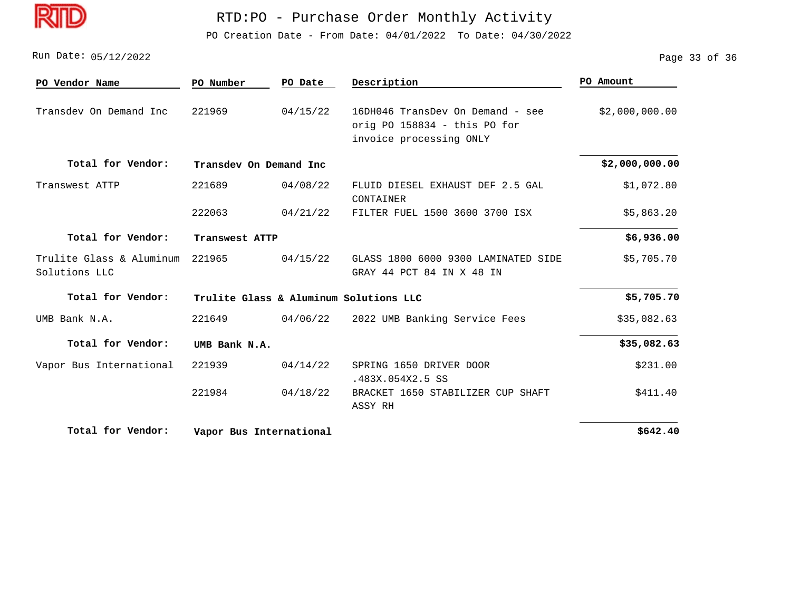PO Creation Date - From Date: 04/01/2022 To Date: 04/30/2022

Run Date: 05/12/2022 2008 Page 33 of 36

| PO Vendor Name                            | PO Number                              | PO Date        | Description                                                                                 | PO Amount      |  |  |
|-------------------------------------------|----------------------------------------|----------------|---------------------------------------------------------------------------------------------|----------------|--|--|
| Transdev On Demand Inc                    | 221969                                 | 04/15/22       | 16DH046 TransDev On Demand - see<br>orig PO 158834 - this PO for<br>invoice processing ONLY | \$2,000,000.00 |  |  |
| Total for Vendor:                         | Transdev On Demand Inc                 |                |                                                                                             | \$2,000,000.00 |  |  |
| Transwest ATTP                            | 221689                                 | 04/08/22       | FLUID DIESEL EXHAUST DEF 2.5 GAL<br>CONTAINER                                               | \$1,072.80     |  |  |
|                                           | 222063                                 | 04/21/22       | FILTER FUEL 1500 3600 3700 ISX                                                              | \$5,863.20     |  |  |
| Total for Vendor:                         |                                        | Transwest ATTP |                                                                                             |                |  |  |
| Trulite Glass & Aluminum<br>Solutions LLC | 221965                                 | 04/15/22       | GLASS 1800 6000 9300 LAMINATED SIDE<br>GRAY 44 PCT 84 IN X 48 IN                            | \$5,705.70     |  |  |
| Total for Vendor:                         | Trulite Glass & Aluminum Solutions LLC | \$5,705.70     |                                                                                             |                |  |  |
| UMB Bank N.A.                             | 221649                                 | 04/06/22       | 2022 UMB Banking Service Fees                                                               | \$35,082.63    |  |  |
| Total for Vendor:                         | UMB Bank N.A.                          |                |                                                                                             | \$35,082.63    |  |  |
| Vapor Bus International                   | 221939                                 | 04/14/22       | SPRING 1650 DRIVER DOOR<br>.483X.054X2.5 SS                                                 | \$231.00       |  |  |
|                                           | 221984                                 | 04/18/22       | BRACKET 1650 STABILIZER CUP SHAFT<br>ASSY RH                                                | \$411.40       |  |  |
| Total for Vendor:                         | Vapor Bus International                |                |                                                                                             | \$642.40       |  |  |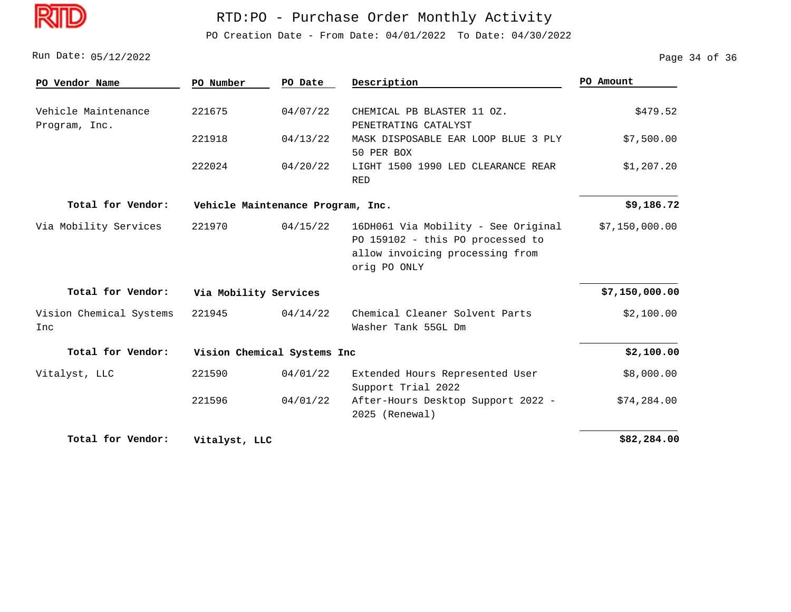

PO Creation Date - From Date: 04/01/2022 To Date: 04/30/2022

Run Date: 05/12/2022 2008 Page 34 of 36

| PO Vendor Name                       | PO Number     | PO Date                           | Description                                                                                                                | PO Amount      |  |  |
|--------------------------------------|---------------|-----------------------------------|----------------------------------------------------------------------------------------------------------------------------|----------------|--|--|
| Vehicle Maintenance<br>Program, Inc. | 221675        | 04/07/22                          | CHEMICAL PB BLASTER 11 OZ.<br>PENETRATING CATALYST                                                                         | \$479.52       |  |  |
|                                      | 221918        | 04/13/22                          | MASK DISPOSABLE EAR LOOP BLUE 3 PLY<br>50 PER BOX                                                                          | \$7,500.00     |  |  |
|                                      | 222024        | 04/20/22                          | LIGHT 1500 1990 LED CLEARANCE REAR<br><b>RED</b>                                                                           | \$1,207.20     |  |  |
| Total for Vendor:                    |               | Vehicle Maintenance Program, Inc. |                                                                                                                            |                |  |  |
| Via Mobility Services                | 221970        | 04/15/22                          | 16DH061 Via Mobility - See Original<br>PO 159102 - this PO processed to<br>allow invoicing processing from<br>orig PO ONLY | \$7,150,000.00 |  |  |
| Total for Vendor:                    |               | Via Mobility Services             |                                                                                                                            |                |  |  |
| Vision Chemical Systems<br>Inc       | 221945        | 04/14/22                          | Chemical Cleaner Solvent Parts<br>Washer Tank 55GL Dm                                                                      | \$2,100.00     |  |  |
| Total for Vendor:                    |               | Vision Chemical Systems Inc       |                                                                                                                            | \$2,100.00     |  |  |
| Vitalyst, LLC                        | 221590        | 04/01/22                          | Extended Hours Represented User<br>Support Trial 2022                                                                      | \$8,000.00     |  |  |
|                                      | 221596        | 04/01/22                          | After-Hours Desktop Support 2022 -<br>2025 (Renewal)                                                                       | \$74, 284.00   |  |  |
| Total for Vendor:                    | Vitalyst, LLC |                                   |                                                                                                                            | \$82,284.00    |  |  |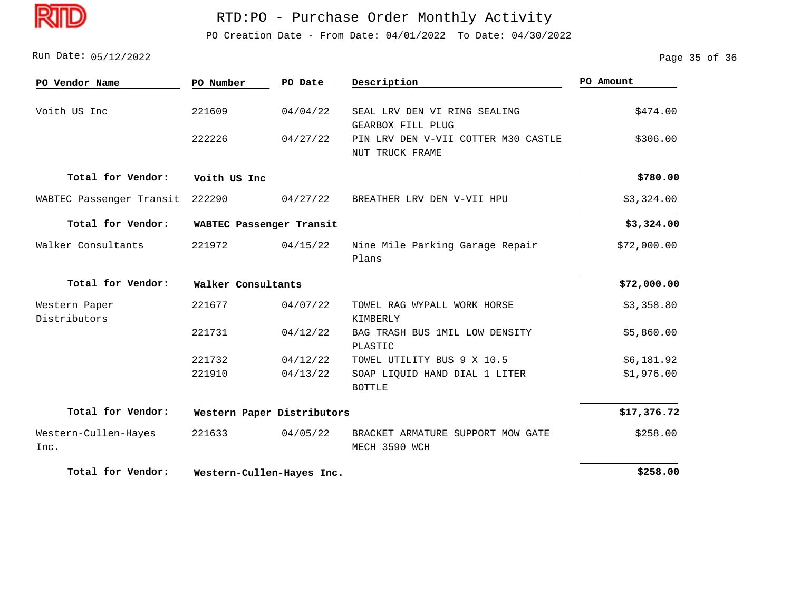

PO Creation Date - From Date: 04/01/2022 To Date: 04/30/2022

Run Date: 05/12/2022 2008 Page 35 of 36

| PO Vendor Name                | PO Number                  | PO Date                   | Description                                            | PO Amount   |  |
|-------------------------------|----------------------------|---------------------------|--------------------------------------------------------|-------------|--|
| Voith US Inc                  | 221609                     | 04/04/22                  | SEAL LRV DEN VI RING SEALING<br>GEARBOX FILL PLUG      | \$474.00    |  |
|                               | 222226                     | 04/27/22                  | PIN LRV DEN V-VII COTTER M30 CASTLE<br>NUT TRUCK FRAME | \$306.00    |  |
| Total for Vendor:             | Voith US Inc               |                           |                                                        | \$780.00    |  |
| WABTEC Passenger Transit      | 222290                     | 04/27/22                  | BREATHER LRV DEN V-VII HPU                             | \$3,324.00  |  |
| Total for Vendor:             |                            | WABTEC Passenger Transit  |                                                        |             |  |
| Walker Consultants            | 221972                     | 04/15/22                  | Nine Mile Parking Garage Repair<br>Plans               | \$72,000.00 |  |
| Total for Vendor:             | Walker Consultants         |                           |                                                        | \$72,000.00 |  |
| Western Paper<br>Distributors | 221677                     | 04/07/22                  | TOWEL RAG WYPALL WORK HORSE<br>KIMBERLY                | \$3,358.80  |  |
|                               | 221731                     | 04/12/22                  | BAG TRASH BUS 1MIL LOW DENSITY<br>PLASTIC              | \$5,860.00  |  |
|                               | 221732                     | 04/12/22                  | TOWEL UTILITY BUS 9 X 10.5                             | \$6,181.92  |  |
|                               | 221910                     | 04/13/22                  | SOAP LIQUID HAND DIAL 1 LITER<br><b>BOTTLE</b>         | \$1,976.00  |  |
| Total for Vendor:             | Western Paper Distributors |                           |                                                        | \$17,376.72 |  |
| Western-Cullen-Hayes<br>Inc.  | 221633                     | 04/05/22                  | BRACKET ARMATURE SUPPORT MOW GATE<br>MECH 3590 WCH     | \$258.00    |  |
| Total for Vendor:             |                            | Western-Cullen-Hayes Inc. |                                                        |             |  |